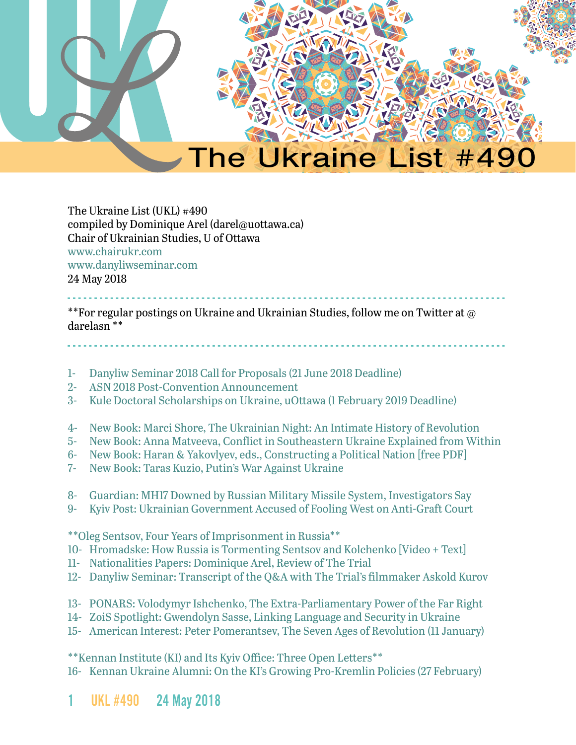

The Ukraine List (UKL) #490 compiled by Dominique Arel (darel@uottawa.ca) Chair of Ukrainian Studies, U of Ottawa [www.chairukr.com](http://www.chairukr.com) [www.danyliwseminar.com](http://www.danyliwseminar.com) 24 May 2018

<span id="page-0-0"></span>- - - - - - - - - - - - - - - - - - - - - - - - - - - - - - - - - - - - - - - - - - - - - - - - - - - - - - - - - - - - - - - - - - - - - - - - - - - - - - - - - - \*\*For regular postings on Ukraine and Ukrainian Studies, follow me on Twitter at @ darelasn \*\*

- - - - - - - - - - - - - - - - - - - - - - - - - - - - - - - - - - - - - - - - - - - - - - - - - - - - - - - - - - - - - - - - - - - - - - - - - - - - - - - - - -

- 1- [Danyliw Seminar 2018 Call for Proposals \(21 June 2018 Deadline\)](#page-1-0)
- 2- [ASN 2018 Post-Convention Announcement](#page-3-0)
- 3- [Kule Doctoral Scholarships on Ukraine, uOttawa \(1 February 2019 Deadline\)](#page-5-0)
- 4- [New Book: Marci Shore, The Ukrainian Night: An Intimate History of Revolution](#page-6-0)
- 5- [New Book: Anna Matveeva, Conflict in Southeastern Ukraine Explained from Within](#page-7-0)
- 6- [New Book: Haran & Yakovlyev, eds., Constructing a Political Nation \[free PDF\]](#page-7-1)
- 7- [New Book: Taras Kuzio, Putin's War Against Ukraine](#page-8-0)
- 8- [Guardian: MH17 Downed by Russian Military Missile System, Investigators Say](#page-9-0)
- 9- [Kyiv Post: Ukrainian Government Accused of Fooling West on Anti-Graft Court](#page-11-0)

\*\*Oleg Sentsov, Four Years of Imprisonment in Russia\*\*

- 10- [Hromadske: How Russia is Tormenting Sentsov and Kolchenko \[Video + Text\]](#page-14-0)
- 11- [Nationalities Papers: Dominique Arel, Review of The Trial](#page-15-0)
- 12- [Danyliw Seminar: Transcript of the Q&A with The Trial's filmmaker Askold Kurov](#page-18-0)
- 13- [PONARS: Volodymyr Ishchenko, The Extra-Parliamentary Power of the Far Right](#page-22-0)
- 14- [ZoiS Spotlight: Gwendolyn Sasse, Linking Language and Security in Ukraine](#page-28-0)
- 15- [American Interest: Peter Pomerantsev, The Seven Ages of Revolution \(11 January\)](#page-30-0)

\*\*Kennan Institute (KI) and Its Kyiv Office: Three Open Letters\*\*

16- [Kennan Ukraine Alumni: On the KI's Growing Pro-Kremlin Policies \(27 February\)](#page-34-0)

1 UKL #490 24 May 2018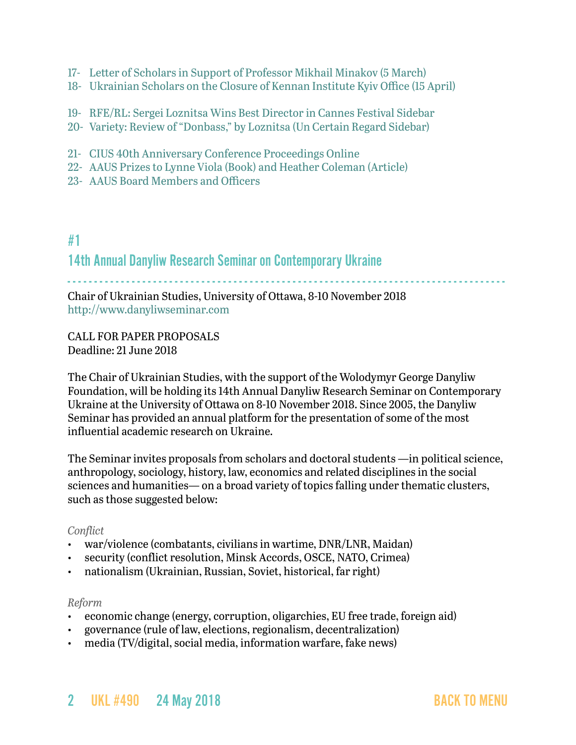- 17- [Letter of Scholars in Support of Professor Mikhail Minakov \(5 March\)](#page-37-0)
- 18- Ukrainian Scholars on the Closure of Kennan Institute Kyiv Office (15 April)
- 19- RFE/RL: Sergei Loznitsa Wins Best Director in Cannes Festival Sidebar
- 20- Variety: Review of "Donbass," by Loznitsa (Un Certain Regard Sidebar)
- 21- [CIUS 40th Anniversary Conference Proceedings Online](#page-43-0)
- 22- [AAUS Prizes to Lynne Viola \(Book\) and Heather Coleman \(Article\)](#page-43-1)
- 23- [AAUS Board Members and Officers](#page-44-0)

# <span id="page-1-0"></span>#1 14th Annual Danyliw Research Seminar on Contemporary Ukraine

- - - - - - - - - - - - - - - - - - - - - - - - - - - - - - - - - - - - - - - - - - - - - - - - - - - - - - - - - - - - - - - - - - - - - - - - - - - - - - - - - -

Chair of Ukrainian Studies, University of Ottawa, 8-10 November 2018 <http://www.danyliwseminar.com>

CALL FOR PAPER PROPOSALS Deadline: 21 June 2018

The Chair of Ukrainian Studies, with the support of the Wolodymyr George Danyliw Foundation, will be holding its 14th Annual Danyliw Research Seminar on Contemporary Ukraine at the University of Ottawa on 8-10 November 2018. Since 2005, the Danyliw Seminar has provided an annual platform for the presentation of some of the most influential academic research on Ukraine.

The Seminar invites proposals from scholars and doctoral students —in political science, anthropology, sociology, history, law, economics and related disciplines in the social sciences and humanities— on a broad variety of topics falling under thematic clusters, such as those suggested below:

#### *Conflict*

- war/violence (combatants, civilians in wartime, DNR/LNR, Maidan)
- security (conflict resolution, Minsk Accords, OSCE, NATO, Crimea)
- nationalism (Ukrainian, Russian, Soviet, historical, far right)

#### *Reform*

- economic change (energy, corruption, oligarchies, EU free trade, foreign aid)
- governance (rule of law, elections, regionalism, decentralization)
- media (TV/digital, social media, information warfare, fake news)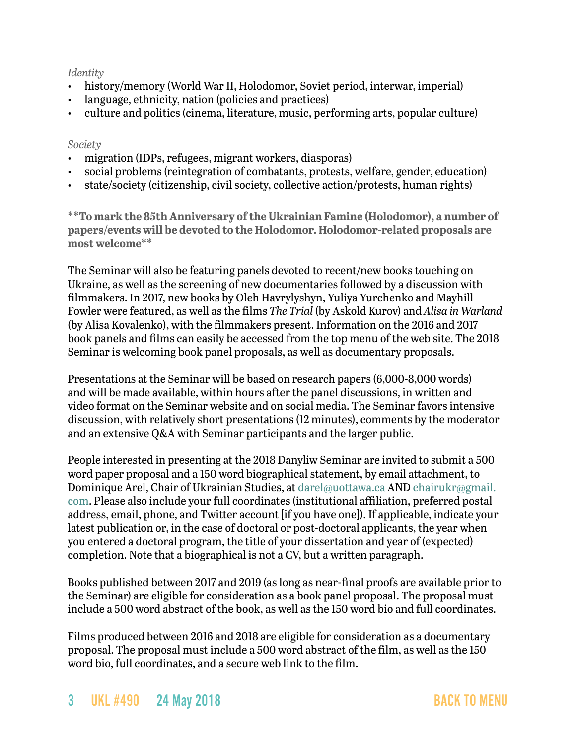### *Identity*

- history/memory (World War II, Holodomor, Soviet period, interwar, imperial)
- language, ethnicity, nation (policies and practices)
- culture and politics (cinema, literature, music, performing arts, popular culture)

#### *Society*

- migration (IDPs, refugees, migrant workers, diasporas)
- social problems (reintegration of combatants, protests, welfare, gender, education)
- state/society (citizenship, civil society, collective action/protests, human rights)

**\*\*To mark the 85th Anniversary of the Ukrainian Famine (Holodomor), a number of papers/events will be devoted to the Holodomor. Holodomor-related proposals are most welcome\*\***

The Seminar will also be featuring panels devoted to recent/new books touching on Ukraine, as well as the screening of new documentaries followed by a discussion with filmmakers. In 2017, new books by Oleh Havrylyshyn, Yuliya Yurchenko and Mayhill Fowler were featured, as well as the films *The Trial* (by Askold Kurov) and *Alisa in Warland* (by Alisa Kovalenko), with the filmmakers present. Information on the 2016 and 2017 book panels and films can easily be accessed from the top menu of the web site. The 2018 Seminar is welcoming book panel proposals, as well as documentary proposals.

Presentations at the Seminar will be based on research papers (6,000-8,000 words) and will be made available, within hours after the panel discussions, in written and video format on the Seminar website and on social media. The Seminar favors intensive discussion, with relatively short presentations (12 minutes), comments by the moderator and an extensive Q&A with Seminar participants and the larger public.

People interested in presenting at the 2018 Danyliw Seminar are invited to submit a 500 word paper proposal and a 150 word biographical statement, by email attachment, to Dominique Arel, Chair of Ukrainian Studies, at [darel@uottawa.ca](mailto:darel@uottawa.ca) AND [chairukr@gmail.](mailto:chairukr@gmail.com) [com](mailto:chairukr@gmail.com). Please also include your full coordinates (institutional affiliation, preferred postal address, email, phone, and Twitter account [if you have one]). If applicable, indicate your latest publication or, in the case of doctoral or post-doctoral applicants, the year when you entered a doctoral program, the title of your dissertation and year of (expected) completion. Note that a biographical is not a CV, but a written paragraph.

Books published between 2017 and 2019 (as long as near-final proofs are available prior to the Seminar) are eligible for consideration as a book panel proposal. The proposal must include a 500 word abstract of the book, as well as the 150 word bio and full coordinates.

Films produced between 2016 and 2018 are eligible for consideration as a documentary proposal. The proposal must include a 500 word abstract of the film, as well as the 150 word bio, full coordinates, and a secure web link to the film.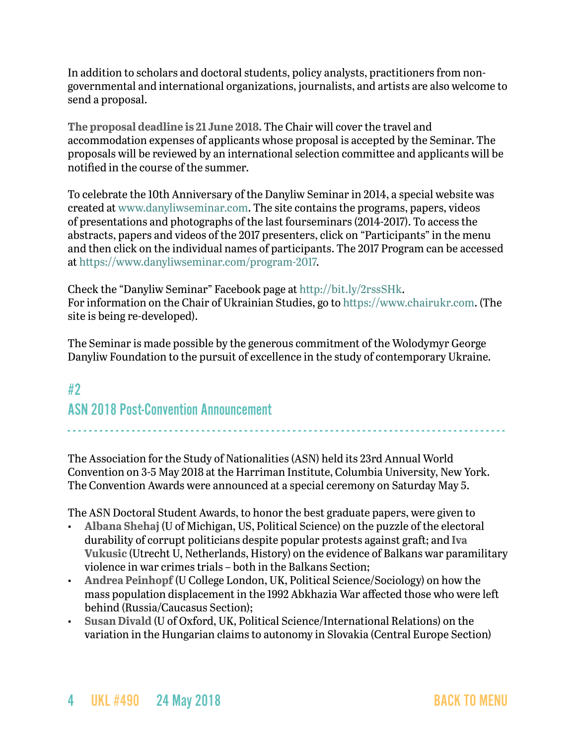In addition to scholars and doctoral students, policy analysts, practitioners from nongovernmental and international organizations, journalists, and artists are also welcome to send a proposal.

**The proposal deadline is 21 June 2018.** The Chair will cover the travel and accommodation expenses of applicants whose proposal is accepted by the Seminar. The proposals will be reviewed by an international selection committee and applicants will be notified in the course of the summer.

To celebrate the 10th Anniversary of the Danyliw Seminar in 2014, a special website was created at [www.danyliwseminar.com.](http://www.danyliwseminar.com) The site contains the programs, papers, videos of presentations and photographs of the last fourseminars (2014-2017). To access the abstracts, papers and videos of the 2017 presenters, click on "Participants" in the menu and then click on the individual names of participants. The 2017 Program can be accessed at<https://www.danyliwseminar.com/program-2017>.

Check the "Danyliw Seminar" Facebook page at<http://bit.ly/2rssSHk>. For information on the Chair of Ukrainian Studies, go to <https://www.chairukr.com>. (The site is being re-developed).

The Seminar is made possible by the generous commitment of the Wolodymyr George Danyliw Foundation to the pursuit of excellence in the study of contemporary Ukraine.

# <span id="page-3-0"></span>#2 ASN 2018 Post-Convention Announcement

The Association for the Study of Nationalities (ASN) held its 23rd Annual World Convention on 3-5 May 2018 at the Harriman Institute, Columbia University, New York. The Convention Awards were announced at a special ceremony on Saturday May 5.

- - - - - - - - - - - - - - - - - - - - - - - - - - - - - - - - - - - - - - - - - - - - - - - - - - - - - - - - - - - - - - - - - - - - - - - - - - - - - - - - - -

The ASN Doctoral Student Awards, to honor the best graduate papers, were given to

- **Albana Shehaj** (U of Michigan, US, Political Science) on the puzzle of the electoral durability of corrupt politicians despite popular protests against graft; and **Iva Vukusic** (Utrecht U, Netherlands, History) on the evidence of Balkans war paramilitary violence in war crimes trials – both in the Balkans Section;
- **Andrea Peinhopf** (U College London, UK, Political Science/Sociology) on how the mass population displacement in the 1992 Abkhazia War affected those who were left behind (Russia/Caucasus Section);
- **Susan Divald** (U of Oxford, UK, Political Science/International Relations) on the variation in the Hungarian claims to autonomy in Slovakia (Central Europe Section)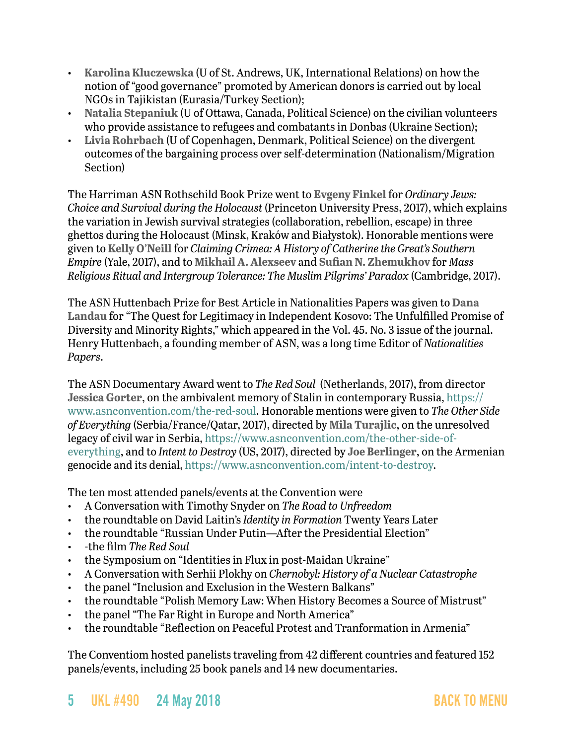- **Karolina Kluczewska** (U of St. Andrews, UK, International Relations) on how the notion of "good governance" promoted by American donors is carried out by local NGOs in Tajikistan (Eurasia/Turkey Section);
- **Natalia Stepaniuk** (U of Ottawa, Canada, Political Science) on the civilian volunteers who provide assistance to refugees and combatants in Donbas (Ukraine Section);
- **Livia Rohrbach** (U of Copenhagen, Denmark, Political Science) on the divergent outcomes of the bargaining process over self-determination (Nationalism/Migration Section)

The Harriman ASN Rothschild Book Prize went to **Evgeny Finkel** for *Ordinary Jews: Choice and Survival during the Holocaust* (Princeton University Press, 2017), which explains the variation in Jewish survival strategies (collaboration, rebellion, escape) in three ghettos during the Holocaust (Minsk, Kraków and Białystok). Honorable mentions were given to **Kelly O'Neill** for *Claiming Crimea: A History of Catherine the Great's Southern Empire* (Yale, 2017), and to **Mikhail A. Alexseev** and **Sufian N. Zhemukhov** for *Mass Religious Ritual and Intergroup Tolerance: The Muslim Pilgrims' Paradox* (Cambridge, 2017).

The ASN Huttenbach Prize for Best Article in Nationalities Papers was given to **Dana Landau** for "The Quest for Legitimacy in Independent Kosovo: The Unfulfilled Promise of Diversity and Minority Rights," which appeared in the Vol. 45. No. 3 issue of the journal. Henry Huttenbach, a founding member of ASN, was a long time Editor of *Nationalities Papers*.

The ASN Documentary Award went to *The Red Soul* (Netherlands, 2017), from director **Jessica Gorter**, on the ambivalent memory of Stalin in contemporary Russia, [https://](https://www.asnconvention.com/the-red-soul) [www.asnconvention.com/the-red-soul](https://www.asnconvention.com/the-red-soul). Honorable mentions were given to *The Other Side of Everything* (Serbia/France/Qatar, 2017), directed by **Mila Turajlic**, on the unresolved legacy of civil war in Serbia, [https://www.asnconvention.com/the-other-side-of](https://www.asnconvention.com/the-other-side-of-everything)[everything](https://www.asnconvention.com/the-other-side-of-everything), and to *Intent to Destroy* (US, 2017), directed by **Joe Berlinger**, on the Armenian genocide and its denial, [https://www.asnconvention.com/intent-to-destroy.](https://www.asnconvention.com/intent-to-destroy)

The ten most attended panels/events at the Convention were

- A Conversation with Timothy Snyder on *The Road to Unfreedom*
- the roundtable on David Laitin's *Identity in Formation* Twenty Years Later
- the roundtable "Russian Under Putin—After the Presidential Election"
- -the film *The Red Soul*
- the Symposium on "Identities in Flux in post-Maidan Ukraine"
- A Conversation with Serhii Plokhy on *Chernobyl: History of a Nuclear Catastrophe*
- the panel "Inclusion and Exclusion in the Western Balkans"
- the roundtable "Polish Memory Law: When History Becomes a Source of Mistrust"
- the panel "The Far Right in Europe and North America"
- the roundtable "Reflection on Peaceful Protest and Tranformation in Armenia"

The Conventiom hosted panelists traveling from 42 different countries and featured 152 panels/events, including 25 book panels and 14 new documentaries.

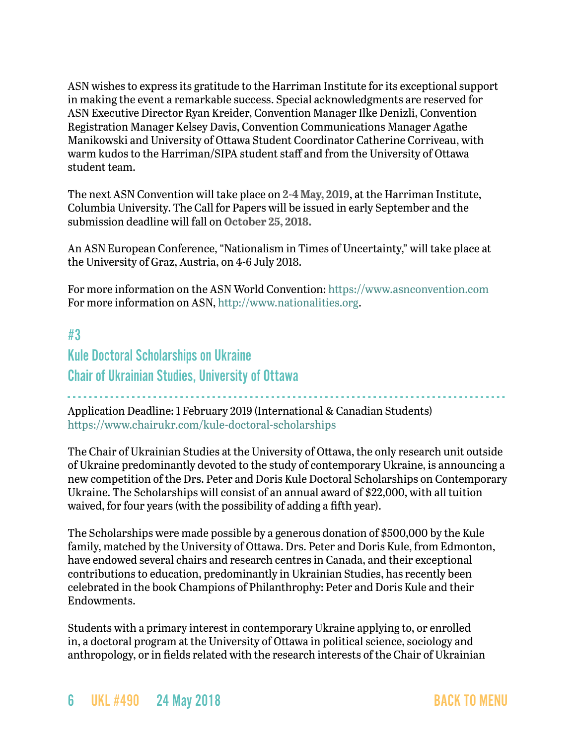ASN wishes to express its gratitude to the Harriman Institute for its exceptional support in making the event a remarkable success. Special acknowledgments are reserved for ASN Executive Director Ryan Kreider, Convention Manager Ilke Denizli, Convention Registration Manager Kelsey Davis, Convention Communications Manager Agathe Manikowski and University of Ottawa Student Coordinator Catherine Corriveau, with warm kudos to the Harriman/SIPA student staff and from the University of Ottawa student team.

The next ASN Convention will take place on **2-4 May, 2019**, at the Harriman Institute, Columbia University. The Call for Papers will be issued in early September and the submission deadline will fall on **October 25, 2018.**

An ASN European Conference, "Nationalism in Times of Uncertainty," will take place at the University of Graz, Austria, on 4-6 July 2018.

For more information on the ASN World Convention:<https://www.asnconvention.com> For more information on ASN, <http://www.nationalities.org>.

# <span id="page-5-0"></span>#3 Kule Doctoral Scholarships on Ukraine Chair of Ukrainian Studies, University of Ottawa

- - - - - - - - - - - - - - - - - - - - - - - - - - - - - - - - - - - - - - - - - - - - - - - - - - - - - - - - - - - - - - - - - - - - - - - - - - - - - - - - - - Application Deadline: 1 February 2019 (International & Canadian Students) <https://www.chairukr.com/kule-doctoral-scholarships>

The Chair of Ukrainian Studies at the University of Ottawa, the only research unit outside of Ukraine predominantly devoted to the study of contemporary Ukraine, is announcing a new competition of the Drs. Peter and Doris Kule Doctoral Scholarships on Contemporary Ukraine. The Scholarships will consist of an annual award of \$22,000, with all tuition waived, for four years (with the possibility of adding a fifth year).

The Scholarships were made possible by a generous donation of \$500,000 by the Kule family, matched by the University of Ottawa. Drs. Peter and Doris Kule, from Edmonton, have endowed several chairs and research centres in Canada, and their exceptional contributions to education, predominantly in Ukrainian Studies, has recently been celebrated in the book Champions of Philanthrophy: Peter and Doris Kule and their Endowments.

Students with a primary interest in contemporary Ukraine applying to, or enrolled in, a doctoral program at the University of Ottawa in political science, sociology and anthropology, or in fields related with the research interests of the Chair of Ukrainian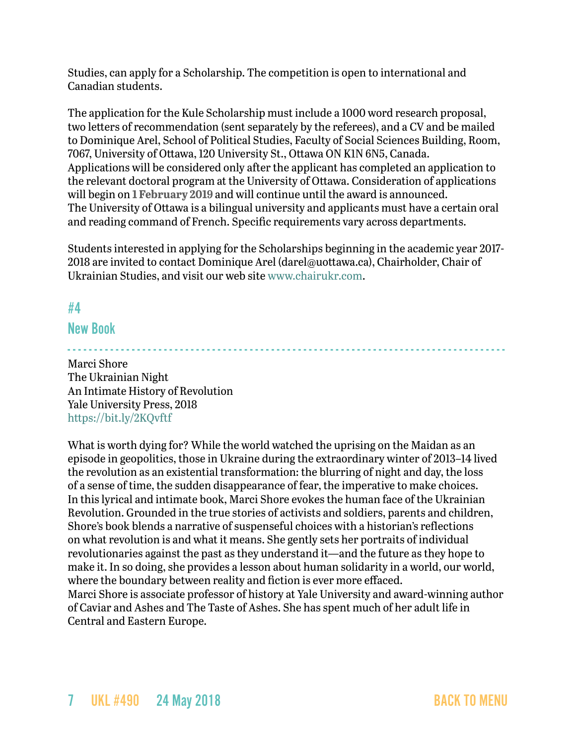Studies, can apply for a Scholarship. The competition is open to international and Canadian students.

The application for the Kule Scholarship must include a 1000 word research proposal, two letters of recommendation (sent separately by the referees), and a CV and be mailed to Dominique Arel, School of Political Studies, Faculty of Social Sciences Building, Room, 7067, University of Ottawa, 120 University St., Ottawa ON K1N 6N5, Canada. Applications will be considered only after the applicant has completed an application to the relevant doctoral program at the University of Ottawa. Consideration of applications will begin on **1 February 2019** and will continue until the award is announced. The University of Ottawa is a bilingual university and applicants must have a certain oral and reading command of French. Specific requirements vary across departments.

Students interested in applying for the Scholarships beginning in the academic year 2017- 2018 are invited to contact Dominique Arel [\(darel@uottawa.ca](mailto:darel@uottawa.ca)), Chairholder, Chair of Ukrainian Studies, and visit our web site [www.chairukr.com](http://www.chairukr.com).

## <span id="page-6-0"></span>#4

### New Book

- - - - - - - - - - - - - - - - - - - - - - - - - - - - - - - - - - - - - - - - - - - - - - - - - - - - - - - - - - - - - - - - - - - - - - - - - - - - - - - - - - Marci Shore The Ukrainian Night An Intimate History of Revolution Yale University Press, 2018 <https://bit.ly/2KQvftf>

What is worth dying for? While the world watched the uprising on the Maidan as an episode in geopolitics, those in Ukraine during the extraordinary winter of 2013–14 lived the revolution as an existential transformation: the blurring of night and day, the loss of a sense of time, the sudden disappearance of fear, the imperative to make choices. In this lyrical and intimate book, Marci Shore evokes the human face of the Ukrainian Revolution. Grounded in the true stories of activists and soldiers, parents and children, Shore's book blends a narrative of suspenseful choices with a historian's reflections on what revolution is and what it means. She gently sets her portraits of individual revolutionaries against the past as they understand it—and the future as they hope to make it. In so doing, she provides a lesson about human solidarity in a world, our world, where the boundary between reality and fiction is ever more effaced. Marci Shore is associate professor of history at Yale University and award-winning author of Caviar and Ashes and The Taste of Ashes. She has spent much of her adult life in Central and Eastern Europe.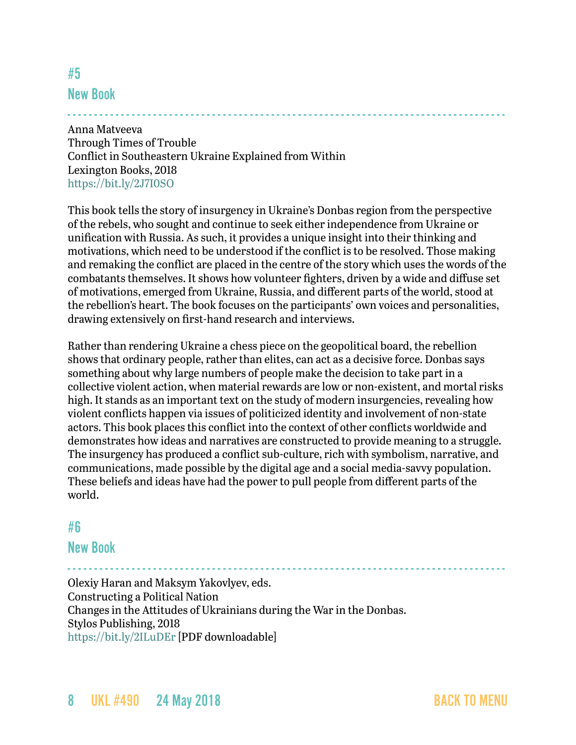## <span id="page-7-0"></span>#5 New Book

## - - - - - - - - - - - - - - - - - - - - - - - - - - - - - - - - - - - - - - - - - - - - - - - - - - - - - - - - - - - - - - - - - - - - - - - - - - - - - - - - - -

Anna Matveeva Through Times of Trouble Conflict in Southeastern Ukraine Explained from Within Lexington Books, 2018 <https://bit.ly/2J7I0SO>

This book tells the story of insurgency in Ukraine's Donbas region from the perspective of the rebels, who sought and continue to seek either independence from Ukraine or unification with Russia. As such, it provides a unique insight into their thinking and motivations, which need to be understood if the conflict is to be resolved. Those making and remaking the conflict are placed in the centre of the story which uses the words of the combatants themselves. It shows how volunteer fighters, driven by a wide and diffuse set of motivations, emerged from Ukraine, Russia, and different parts of the world, stood at the rebellion's heart. The book focuses on the participants' own voices and personalities, drawing extensively on first-hand research and interviews.

Rather than rendering Ukraine a chess piece on the geopolitical board, the rebellion shows that ordinary people, rather than elites, can act as a decisive force. Donbas says something about why large numbers of people make the decision to take part in a collective violent action, when material rewards are low or non-existent, and mortal risks high. It stands as an important text on the study of modern insurgencies, revealing how violent conflicts happen via issues of politicized identity and involvement of non-state actors. This book places this conflict into the context of other conflicts worldwide and demonstrates how ideas and narratives are constructed to provide meaning to a struggle. The insurgency has produced a conflict sub-culture, rich with symbolism, narrative, and communications, made possible by the digital age and a social media-savvy population. These beliefs and ideas have had the power to pull people from different parts of the world.

### <span id="page-7-1"></span>#6

### New Book

- - - - - - - - - - - - - - - - - - - - - - - - - - - - - - - - - - - - - - - - - - - - - - - - - - - - - - - - - - - - - - - - - - - - - - - - - - - - - - - - - - Olexiy Haran and Maksym Yakovlyev, eds. Constructing a Political Nation Changes in the Attitudes of Ukrainians during the War in the Donbas. Stylos Publishing, 2018 <https://bit.ly/2ILuDEr> [PDF downloadable]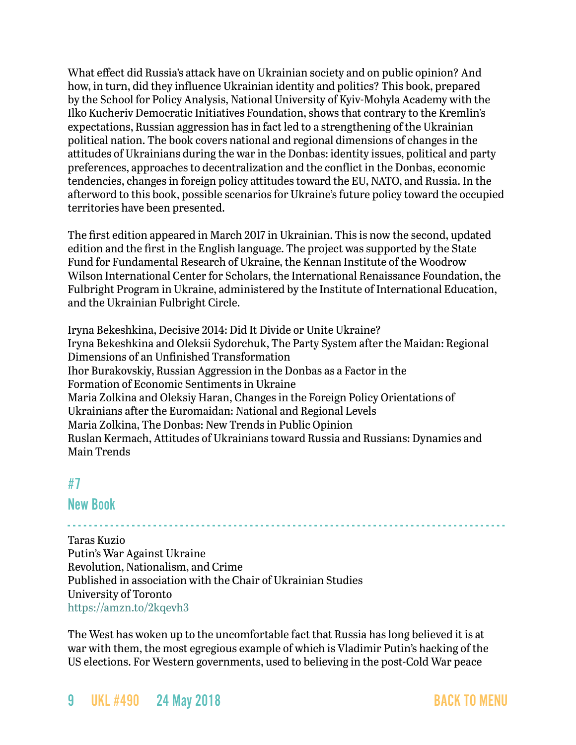What effect did Russia's attack have on Ukrainian society and on public opinion? And how, in turn, did they influence Ukrainian identity and politics? This book, prepared by the School for Policy Analysis, National University of Kyiv-Mohyla Academy with the Ilko Kucheriv Democratic Initiatives Foundation, shows that contrary to the Kremlin's expectations, Russian aggression has in fact led to a strengthening of the Ukrainian political nation. The book covers national and regional dimensions of changes in the attitudes of Ukrainians during the war in the Donbas: identity issues, political and party preferences, approaches to decentralization and the conflict in the Donbas, economic tendencies, changes in foreign policy attitudes toward the EU, NATO, and Russia. In the afterword to this book, possible scenarios for Ukraine's future policy toward the occupied territories have been presented.

The first edition appeared in March 2017 in [Ukrainian.](http://dif.org.ua/uploads/pdf/150467475158f5c921352af7.35764833.pdf) This is now the second, updated edition and the first in the English language. The project was supported by the State Fund for Fundamental Research of Ukraine, the Kennan Institute of the Woodrow Wilson International Center for Scholars, the International Renaissance Foundation, the Fulbright Program in Ukraine, administered by the Institute of International Education, and the Ukrainian Fulbright Circle.

Iryna Bekeshkina, Decisive 2014: Did It Divide or Unite Ukraine? Iryna Bekeshkina and Oleksii Sydorchuk, The Party System after the Maidan: Regional Dimensions of an Unfinished Transformation Ihor Burakovskiy, Russian Aggression in the Donbas as a Factor in the Formation of Economic Sentiments in Ukraine Maria Zolkina and Oleksiy Haran, Changes in the Foreign Policy Orientations of Ukrainians after the Euromaidan: National and Regional Levels Maria Zolkina, The Donbas: New Trends in Public Opinion Ruslan Kermach, Attitudes of Ukrainians toward Russia and Russians: Dynamics and Main Trends

## <span id="page-8-0"></span>#7

### New Book

- - - - - - - - - - - - - - - - - - - - - - - - - - - - - - - - - - - - - - - - - - - - - - - - - - - - - - - - - - - - - - - - - - - - - - - - - - - - - - - - - - Taras Kuzio Putin's War Against Ukraine Revolution, Nationalism, and Crime Published in association with the Chair of Ukrainian Studies University of Toronto <https://amzn.to/2kqevh3>

The West has woken up to the uncomfortable fact that Russia has long believed it is at war with them, the most egregious example of which is Vladimir Putin's hacking of the US elections. For Western governments, used to believing in the post-Cold War peace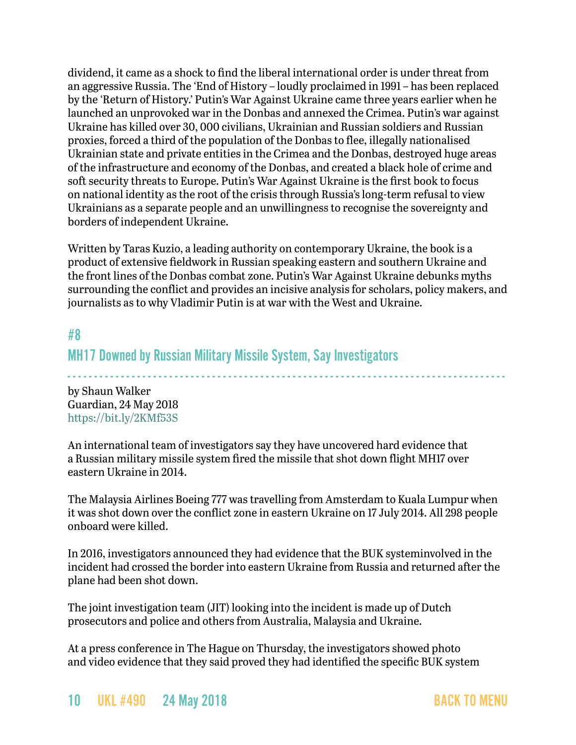dividend, it came as a shock to find the liberal international order is under threat from an aggressive Russia. The 'End of History – loudly proclaimed in 1991 – has been replaced by the 'Return of History.' Putin's War Against Ukraine came three years earlier when he launched an unprovoked war in the Donbas and annexed the Crimea. Putin's war against Ukraine has killed over 30, 000 civilians, Ukrainian and Russian soldiers and Russian proxies, forced a third of the population of the Donbas to flee, illegally nationalised Ukrainian state and private entities in the Crimea and the Donbas, destroyed huge areas of the infrastructure and economy of the Donbas, and created a black hole of crime and soft security threats to Europe. Putin's War Against Ukraine is the first book to focus on national identity as the root of the crisis through Russia's long-term refusal to view Ukrainians as a separate people and an unwillingness to recognise the sovereignty and borders of independent Ukraine.

Written by Taras Kuzio, a leading authority on contemporary Ukraine, the book is a product of extensive fieldwork in Russian speaking eastern and southern Ukraine and the front lines of the Donbas combat zone. Putin's War Against Ukraine debunks myths surrounding the conflict and provides an incisive analysis for scholars, policy makers, and journalists as to why Vladimir Putin is at war with the West and Ukraine.

### <span id="page-9-0"></span>#8

### MH17 Downed by Russian Military Missile System, Say Investigators

- - - - - - - - - - - - - - - - - - - - - - - - - - - - - - - - - - - - - - - - - - - - - - - - - - - - - - - - - - - - - - - - - - - - - - - - - - - - - - - - - -

by Shaun Walker Guardian, 24 May 2018 <https://bit.ly/2KMf53S>

An international team of investigators say they have uncovered hard evidence that a Russian military missile system fired the missile that shot down flight MH17 over eastern Ukraine in 2014.

The Malaysia Airlines Boeing 777 was travelling from Amsterdam to Kuala Lumpur when it was shot down over the conflict zone in eastern Ukraine on 17 July 2014. All 298 people onboard were killed.

In 2016, investigators announced they had evidence that the BUK systeminvolved in the incident had crossed the border into eastern Ukraine from Russia and returned after the plane had been shot down.

The joint investigation team (JIT) looking into the incident is made up of Dutch prosecutors and police and others from Australia, Malaysia and Ukraine.

At a press conference in The Hague on Thursday, the investigators showed photo and video evidence that they said proved they had identified the specific BUK system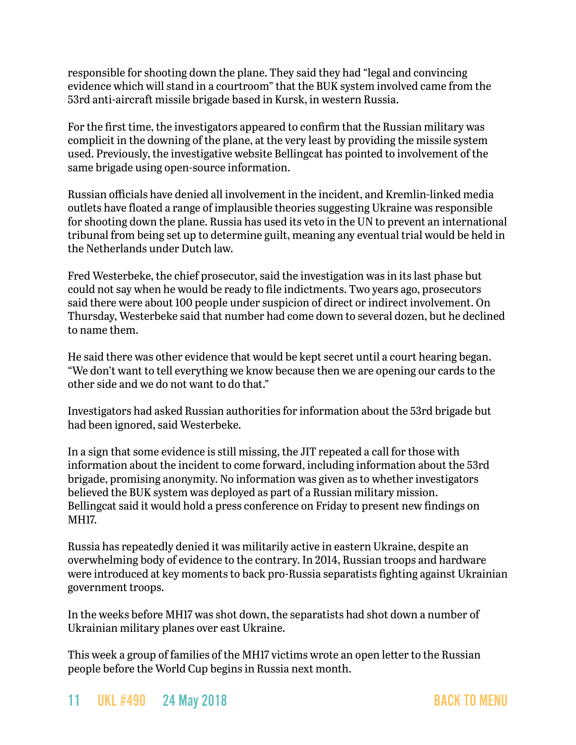responsible for shooting down the plane. They said they had "legal and convincing evidence which will stand in a courtroom" that the BUK system involved came from the 53rd anti-aircraft missile brigade based in Kursk, in western Russia.

For the first time, the investigators appeared to confirm that the Russian military was complicit in the downing of the plane, at the very least by providing the missile system used. Previously, the investigative website Bellingcat has pointed to involvement of the same brigade using open-source information.

Russian officials have denied all involvement in the incident, and Kremlin-linked media outlets have floated a range of implausible theories suggesting Ukraine was responsible for shooting down the plane. Russia has used its veto in the UN to prevent an international tribunal from being set up to determine guilt, meaning any eventual trial would be held in the Netherlands under Dutch law.

Fred Westerbeke, the chief prosecutor, said the investigation was in its last phase but could not say when he would be ready to file indictments. Two years ago, prosecutors said there were about 100 people under suspicion of direct or indirect involvement. On Thursday, Westerbeke said that number had come down to several dozen, but he declined to name them.

He said there was other evidence that would be kept secret until a court hearing began. "We don't want to tell everything we know because then we are opening our cards to the other side and we do not want to do that."

Investigators had asked Russian authorities for information about the 53rd brigade but had been ignored, said Westerbeke.

In a sign that some evidence is still missing, the JIT repeated a call for those with information about the incident to come forward, including information about the 53rd brigade, promising anonymity. No information was given as to whether investigators believed the BUK system was deployed as part of a Russian military mission. Bellingcat said it would hold a press conference on Friday to present new findings on MH17.

Russia has repeatedly denied it was militarily active in eastern Ukraine, despite an overwhelming body of evidence to the contrary. In 2014, Russian troops and hardware were introduced at key moments to back pro-Russia separatists fighting against Ukrainian government troops.

In the weeks before MH17 was shot down, the separatists had shot down a number of Ukrainian military planes over east Ukraine.

This week a group of families of the MH17 victims wrote an open letter to the Russian people before the World Cup begins in Russia next month.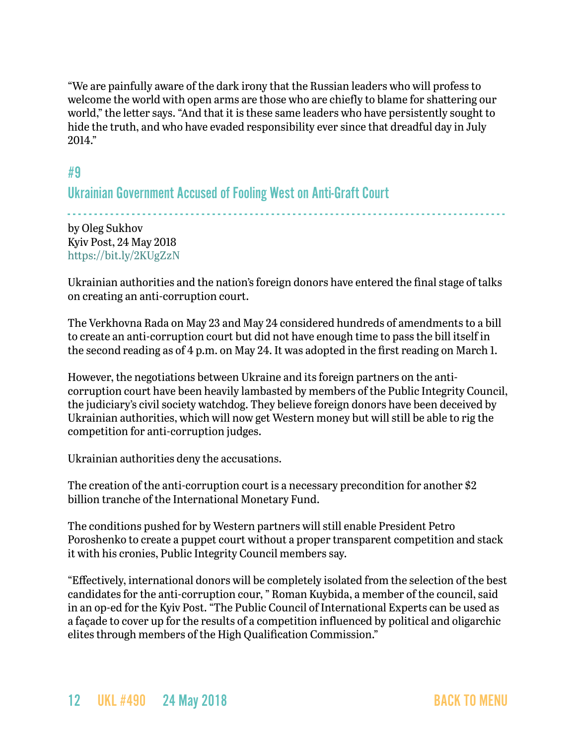"We are painfully aware of the dark irony that the Russian leaders who will profess to welcome the world with open arms are those who are chiefly to blame for shattering our world," the letter says. "And that it is these same leaders who have persistently sought to hide the truth, and who have evaded responsibility ever since that dreadful day in July 2014."

### <span id="page-11-0"></span>#9

Ukrainian Government Accused of Fooling West on Anti-Graft Court

- - - - - - - - - - - - - - - - - - - - - - - - - - - - - - - - - - - - - - - - - - - - - - - - - - - - - - - - - - - - - - - - - - - - - - - - - - - - - - - - - by Oleg Sukhov Kyiv Post, 24 May 2018 <https://bit.ly/2KUgZzN>

Ukrainian authorities and the nation's foreign donors have entered the final stage of talks on creating an anti-corruption court.

The Verkhovna Rada on May 23 and May 24 considered hundreds of amendments to a bill to create an anti-corruption court but did not have enough time to pass the bill itself in the second reading as of 4 p.m. on May 24. It was adopted in the first reading on March 1.

However, the negotiations between Ukraine and its foreign partners on the anticorruption court have been heavily lambasted by members of the Public Integrity Council, the judiciary's civil society watchdog. They believe foreign donors have been deceived by Ukrainian authorities, which will now get Western money but will still be able to rig the competition for anti-corruption judges.

Ukrainian authorities deny the accusations.

The creation of the anti-corruption court is a necessary precondition for another \$2 billion tranche of the International Monetary Fund.

The conditions pushed for by Western partners will still enable President Petro Poroshenko to create a puppet court without a proper transparent competition and stack it with his cronies, Public Integrity Council members say.

"Effectively, international donors will be completely isolated from the selection of the best candidates for the anti-corruption cour, " Roman Kuybida, a member of the council, said in an op-ed for the Kyiv Post. "The Public Council of International Experts can be used as a façade to cover up for the results of a competition influenced by political and oligarchic elites through members of the High Qualification Commission."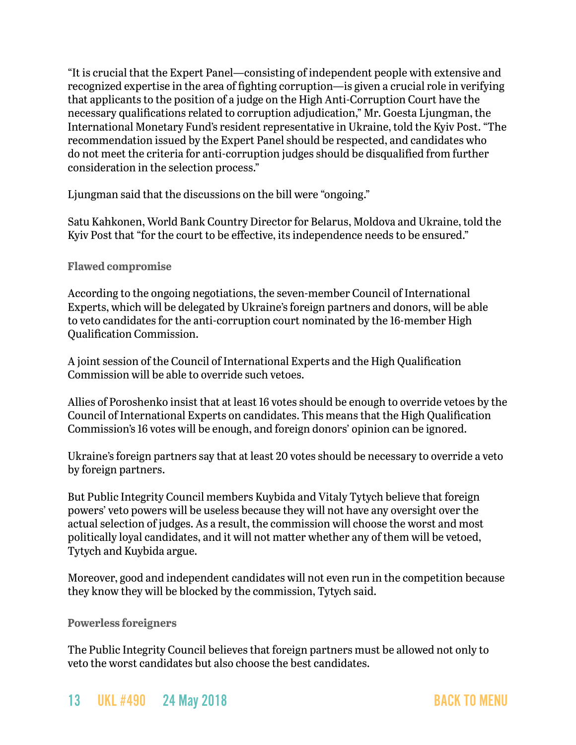"It is crucial that the Expert Panel—consisting of independent people with extensive and recognized expertise in the area of fighting corruption—is given a crucial role in verifying that applicants to the position of a judge on the High Anti-Corruption Court have the necessary qualifications related to corruption adjudication," Mr. Goesta Ljungman, the International Monetary Fund's resident representative in Ukraine, told the Kyiv Post. "The recommendation issued by the Expert Panel should be respected, and candidates who do not meet the criteria for anti-corruption judges should be disqualified from further consideration in the selection process."

Ljungman said that the discussions on the bill were "ongoing."

Satu Kahkonen, World Bank Country Director for Belarus, Moldova and Ukraine, told the Kyiv Post that "for the court to be effective, its independence needs to be ensured."

#### **Flawed compromise**

According to the ongoing negotiations, the seven-member Council of International Experts, which will be delegated by Ukraine's foreign partners and donors, will be able to veto candidates for the anti-corruption court nominated by the 16-member High Qualification Commission.

A joint session of the Council of International Experts and the High Qualification Commission will be able to override such vetoes.

Allies of Poroshenko insist that at least 16 votes should be enough to override vetoes by the Council of International Experts on candidates. This means that the High Qualification Commission's 16 votes will be enough, and foreign donors' opinion can be ignored.

Ukraine's foreign partners say that at least 20 votes should be necessary to override a veto by foreign partners.

But Public Integrity Council members Kuybida and Vitaly Tytych believe that foreign powers' veto powers will be useless because they will not have any oversight over the actual selection of judges. As a result, the commission will choose the worst and most politically loyal candidates, and it will not matter whether any of them will be vetoed, Tytych and Kuybida argue.

Moreover, good and independent candidates will not even run in the competition because they know they will be blocked by the commission, Tytych said.

**Powerless foreigners**

The Public Integrity Council believes that foreign partners must be allowed not only to veto the worst candidates but also choose the best candidates.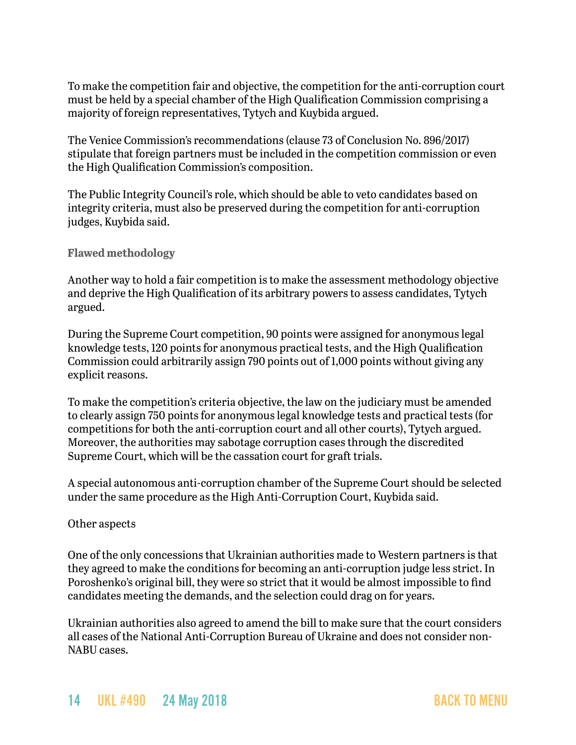To make the competition fair and objective, the competition for the anti-corruption court must be held by a special chamber of the High Qualification Commission comprising a majority of foreign representatives, Tytych and Kuybida argued.

The Venice Commission's recommendations (clause 73 of Conclusion No. 896/2017) stipulate that foreign partners must be included in the competition commission or even the High Qualification Commission's composition.

The Public Integrity Council's role, which should be able to veto candidates based on integrity criteria, must also be preserved during the competition for anti-corruption judges, Kuybida said.

#### **Flawed methodology**

Another way to hold a fair competition is to make the assessment methodology objective and deprive the High Qualification of its arbitrary powers to assess candidates, Tytych argued.

During the Supreme Court competition, 90 points were assigned for anonymous legal knowledge tests, 120 points for anonymous practical tests, and the High Qualification Commission could arbitrarily assign 790 points out of 1,000 points without giving any explicit reasons.

To make the competition's criteria objective, the law on the judiciary must be amended to clearly assign 750 points for anonymous legal knowledge tests and practical tests (for competitions for both the anti-corruption court and all other courts), Tytych argued. Moreover, the authorities may sabotage corruption cases through the discredited Supreme Court, which will be the cassation court for graft trials.

A special autonomous anti-corruption chamber of the Supreme Court should be selected under the same procedure as the High Anti-Corruption Court, Kuybida said.

#### Other aspects

One of the only concessions that Ukrainian authorities made to Western partners is that they agreed to make the conditions for becoming an anti-corruption judge less strict. In Poroshenko's original bill, they were so strict that it would be almost impossible to find candidates meeting the demands, and the selection could drag on for years.

Ukrainian authorities also agreed to amend the bill to make sure that the court considers all cases of the National Anti-Corruption Bureau of Ukraine and does not consider non-NABU cases.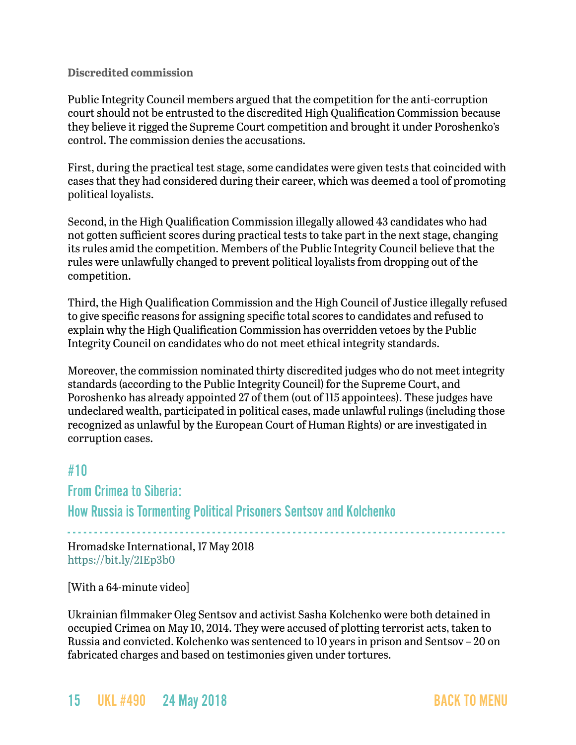#### **Discredited commission**

Public Integrity Council members argued that the competition for the anti-corruption court should not be entrusted to the discredited High Qualification Commission because they believe it rigged the Supreme Court competition and brought it under Poroshenko's control. The commission denies the accusations.

First, during the practical test stage, some candidates were given tests that coincided with cases that they had considered during their career, which was deemed a tool of promoting political loyalists.

Second, in the High Qualification Commission illegally allowed 43 candidates who had not gotten sufficient scores during practical tests to take part in the next stage, changing its rules amid the competition. Members of the Public Integrity Council believe that the rules were unlawfully changed to prevent political loyalists from dropping out of the competition.

Third, the High Qualification Commission and the High Council of Justice illegally refused to give specific reasons for assigning specific total scores to candidates and refused to explain why the High Qualification Commission has overridden vetoes by the Public Integrity Council on candidates who do not meet ethical integrity standards.

Moreover, the commission nominated thirty discredited judges who do not meet integrity standards (according to the Public Integrity Council) for the Supreme Court, and Poroshenko has already appointed 27 of them (out of 115 appointees). These judges have undeclared wealth, participated in political cases, made unlawful rulings (including those recognized as unlawful by the European Court of Human Rights) or are investigated in corruption cases.

### <span id="page-14-0"></span>#10

### From Crimea to Siberia:

How Russia is Tormenting Political Prisoners Sentsov and Kolchenko

- - - - - - - - - - - - - - - - - - - - - - - - - - - - - - - - - - - - - - - - - - - - - - - - - - - - - - - - - - - - - - - - - - - - - - - - - - - - - - - - - - Hromadske International, 17 May 2018 <https://bit.ly/2IEp3b0>

[With a 64-minute video]

Ukrainian filmmaker Oleg Sentsov and activist Sasha Kolchenko were both detained in occupied Crimea on May 10, 2014. They were accused of plotting terrorist acts, taken to Russia and convicted. Kolchenko was sentenced to 10 years in prison and Sentsov – 20 on fabricated charges and based on testimonies given under tortures.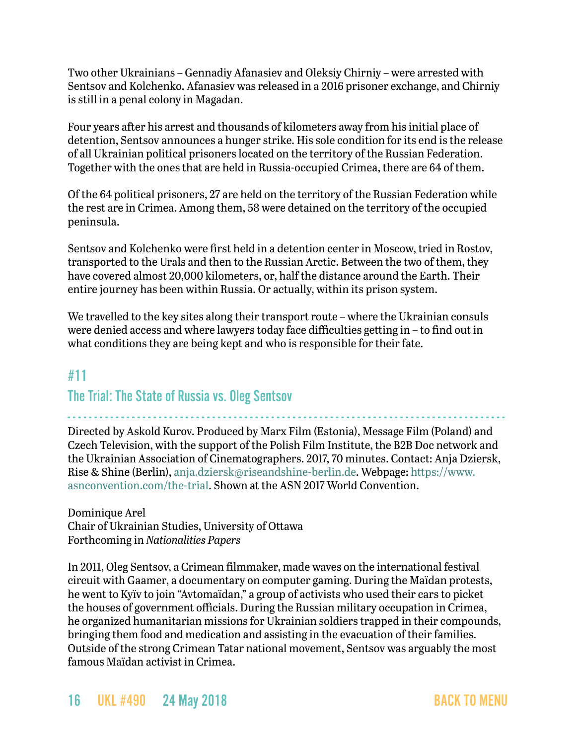Two other Ukrainians – Gennadiy Afanasiev and Oleksiy Chirniy – were arrested with Sentsov and Kolchenko. Afanasiev was released in a 2016 prisoner exchange, and Chirniy is still in a penal colony in Magadan.

Four years after his arrest and thousands of kilometers away from his initial place of detention, Sentsov announces a hunger strike. His sole condition for its end is the release of all Ukrainian political prisoners located on the territory of the Russian Federation. Together with the ones that are held in Russia-occupied Crimea, there are 64 of them.

Of the 64 political prisoners, 27 are held on the territory of the Russian Federation while the rest are in Crimea. Among them, 58 were detained on the territory of the occupied peninsula.

Sentsov and Kolchenko were first held in a detention center in Moscow, tried in Rostov, transported to the Urals and then to the Russian Arctic. Between the two of them, they have covered almost 20,000 kilometers, or, half the distance around the Earth. Their entire journey has been within Russia. Or actually, within its prison system.

We travelled to the key sites along their transport route – where the Ukrainian consuls were denied access and where lawyers today face difficulties getting in – to find out in what conditions they are being kept and who is responsible for their fate.

## <span id="page-15-0"></span>#11

## The Trial: The State of Russia vs. Oleg Sentsov

- - - - - - - - - - - - - - - - - - - - - - - - - - - - - - - - - - - - - - - - - - - - - - - - - - - - - - - - - - - - - - - - - - - - - - - - - - - - - - - - - - Directed by Askold Kurov. Produced by Marx Film (Estonia), Message Film (Poland) and Czech Television, with the support of the Polish Film Institute, the B2B Doc network and the Ukrainian Association of Cinematographers. 2017, 70 minutes. Contact: Anja Dziersk, Rise & Shine (Berlin), [anja.dziersk@riseandshine-berlin.de](mailto:anja.dziersk@riseandshine-berlin.de). Webpage: [https://www.](https://www.asnconvention.com/the-trial) [asnconvention.com/the-trial.](https://www.asnconvention.com/the-trial) Shown at the ASN 2017 World Convention.

Dominique Arel Chair of Ukrainian Studies, University of Ottawa Forthcoming in *Nationalities Papers*

In 2011, Oleg Sentsov, a Crimean filmmaker, made waves on the international festival circuit with Gaamer, a documentary on computer gaming. During the Maïdan protests, he went to Kyïv to join "Avtomaïdan," a group of activists who used their cars to picket the houses of government officials. During the Russian military occupation in Crimea, he organized humanitarian missions for Ukrainian soldiers trapped in their compounds, bringing them food and medication and assisting in the evacuation of their families. Outside of the strong Crimean Tatar national movement, Sentsov was arguably the most famous Maïdan activist in Crimea.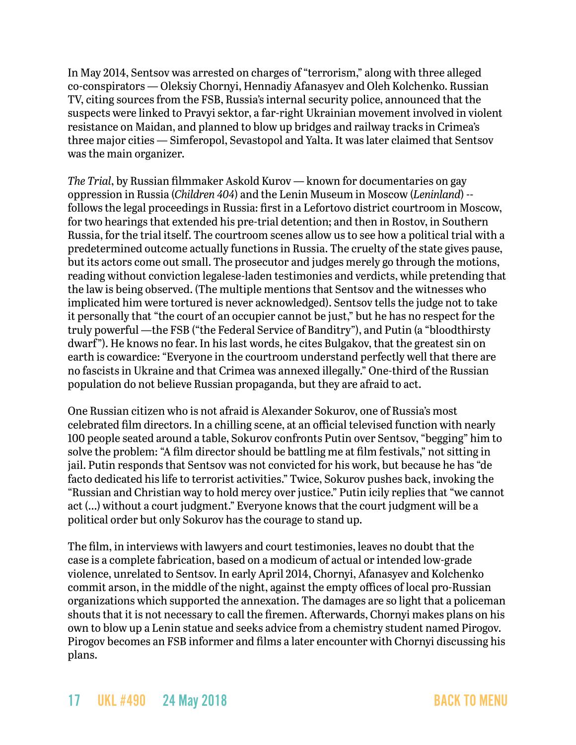In May 2014, Sentsov was arrested on charges of "terrorism," along with three alleged co-conspirators — Oleksiy Chornyi, Hennadiy Afanasyev and Oleh Kolchenko. Russian TV, citing sources from the FSB, Russia's internal security police, announced that the suspects were linked to Pravyi sektor, a far-right Ukrainian movement involved in violent resistance on Maidan, and planned to blow up bridges and railway tracks in Crimea's three major cities — Simferopol, Sevastopol and Yalta. It was later claimed that Sentsov was the main organizer.

*The Trial*, by Russian filmmaker Askold Kurov — known for documentaries on gay oppression in Russia (*Children 404*) and the Lenin Museum in Moscow (*Leninland*) - follows the legal proceedings in Russia: first in a Lefortovo district courtroom in Moscow, for two hearings that extended his pre-trial detention; and then in Rostov, in Southern Russia, for the trial itself. The courtroom scenes allow us to see how a political trial with a predetermined outcome actually functions in Russia. The cruelty of the state gives pause, but its actors come out small. The prosecutor and judges merely go through the motions, reading without conviction legalese-laden testimonies and verdicts, while pretending that the law is being observed. (The multiple mentions that Sentsov and the witnesses who implicated him were tortured is never acknowledged). Sentsov tells the judge not to take it personally that "the court of an occupier cannot be just," but he has no respect for the truly powerful —the FSB ("the Federal Service of Banditry"), and Putin (a "bloodthirsty dwarf"). He knows no fear. In his last words, he cites Bulgakov, that the greatest sin on earth is cowardice: "Everyone in the courtroom understand perfectly well that there are no fascists in Ukraine and that Crimea was annexed illegally." One-third of the Russian population do not believe Russian propaganda, but they are afraid to act.

One Russian citizen who is not afraid is Alexander Sokurov, one of Russia's most celebrated film directors. In a chilling scene, at an official televised function with nearly 100 people seated around a table, Sokurov confronts Putin over Sentsov, "begging" him to solve the problem: "A film director should be battling me at film festivals," not sitting in jail. Putin responds that Sentsov was not convicted for his work, but because he has "de facto dedicated his life to terrorist activities." Twice, Sokurov pushes back, invoking the "Russian and Christian way to hold mercy over justice." Putin icily replies that "we cannot act (...) without a court judgment." Everyone knows that the court judgment will be a political order but only Sokurov has the courage to stand up.

The film, in interviews with lawyers and court testimonies, leaves no doubt that the case is a complete fabrication, based on a modicum of actual or intended low-grade violence, unrelated to Sentsov. In early April 2014, Chornyi, Afanasyev and Kolchenko commit arson, in the middle of the night, against the empty offices of local pro-Russian organizations which supported the annexation. The damages are so light that a policeman shouts that it is not necessary to call the firemen. Afterwards, Chornyi makes plans on his own to blow up a Lenin statue and seeks advice from a chemistry student named Pirogov. Pirogov becomes an FSB informer and films a later encounter with Chornyi discussing his plans.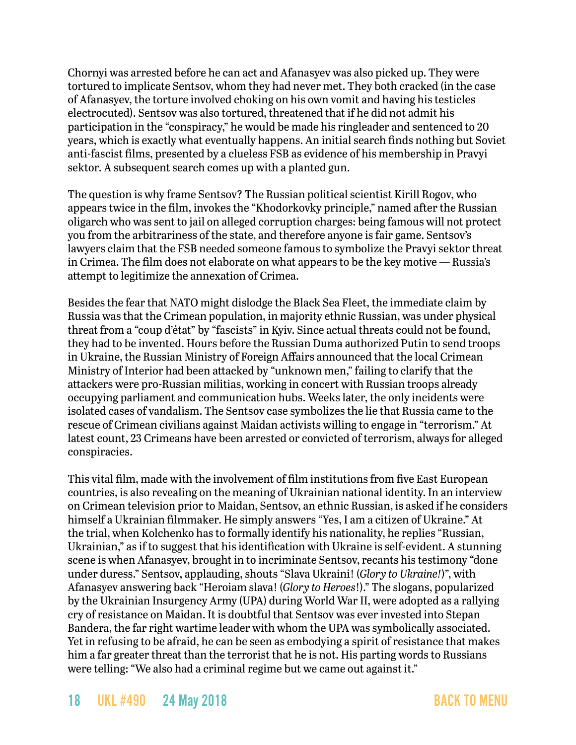Chornyi was arrested before he can act and Afanasyev was also picked up. They were tortured to implicate Sentsov, whom they had never met. They both cracked (in the case of Afanasyev, the torture involved choking on his own vomit and having his testicles electrocuted). Sentsov was also tortured, threatened that if he did not admit his participation in the "conspiracy," he would be made his ringleader and sentenced to 20 years, which is exactly what eventually happens. An initial search finds nothing but Soviet anti-fascist films, presented by a clueless FSB as evidence of his membership in Pravyi sektor. A subsequent search comes up with a planted gun.

The question is why frame Sentsov? The Russian political scientist Kirill Rogov, who appears twice in the film, invokes the "Khodorkovky principle," named after the Russian oligarch who was sent to jail on alleged corruption charges: being famous will not protect you from the arbitrariness of the state, and therefore anyone is fair game. Sentsov's lawyers claim that the FSB needed someone famous to symbolize the Pravyi sektor threat in Crimea. The film does not elaborate on what appears to be the key motive — Russia's attempt to legitimize the annexation of Crimea.

Besides the fear that NATO might dislodge the Black Sea Fleet, the immediate claim by Russia was that the Crimean population, in majority ethnic Russian, was under physical threat from a "coup d'état" by "fascists" in Kyiv. Since actual threats could not be found, they had to be invented. Hours before the Russian Duma authorized Putin to send troops in Ukraine, the Russian Ministry of Foreign Affairs announced that the local Crimean Ministry of Interior had been attacked by "unknown men," failing to clarify that the attackers were pro-Russian militias, working in concert with Russian troops already occupying parliament and communication hubs. Weeks later, the only incidents were isolated cases of vandalism. The Sentsov case symbolizes the lie that Russia came to the rescue of Crimean civilians against Maidan activists willing to engage in "terrorism." At latest count, 23 Crimeans have been arrested or convicted of terrorism, always for alleged conspiracies.

This vital film, made with the involvement of film institutions from five East European countries, is also revealing on the meaning of Ukrainian national identity. In an interview on Crimean television prior to Maidan, Sentsov, an ethnic Russian, is asked if he considers himself a Ukrainian filmmaker. He simply answers "Yes, I am a citizen of Ukraine." At the trial, when Kolchenko has to formally identify his nationality, he replies "Russian, Ukrainian," as if to suggest that his identification with Ukraine is self-evident. A stunning scene is when Afanasyev, brought in to incriminate Sentsov, recants his testimony "done under duress." Sentsov, applauding, shouts "Slava Ukraini! (*Glory to Ukraine!*)", with Afanasyev answering back "Heroiam slava! (*Glory to Heroes*!)." The slogans, popularized by the Ukrainian Insurgency Army (UPA) during World War II, were adopted as a rallying cry of resistance on Maidan. It is doubtful that Sentsov was ever invested into Stepan Bandera, the far right wartime leader with whom the UPA was symbolically associated. Yet in refusing to be afraid, he can be seen as embodying a spirit of resistance that makes him a far greater threat than the terrorist that he is not. His parting words to Russians were telling: "We also had a criminal regime but we came out against it."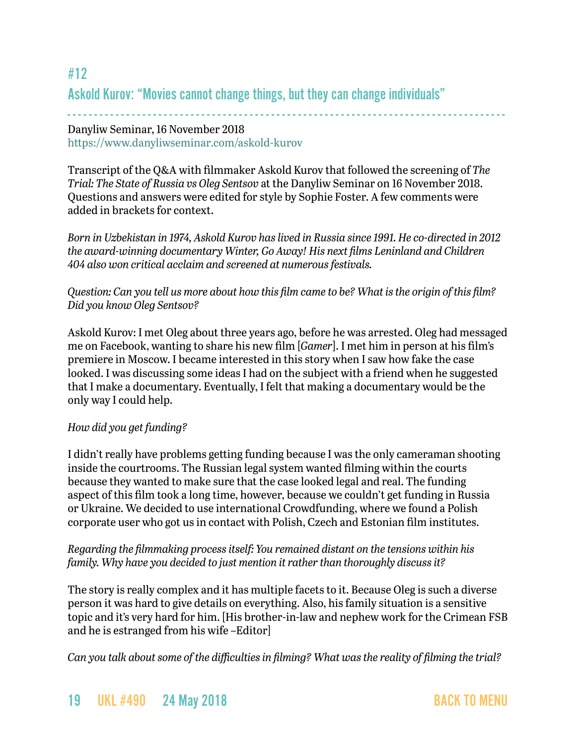## <span id="page-18-0"></span>#12 Askold Kurov: "Movies cannot change things, but they can change individuals"

### - - - - - - - - - - - - - - - - - - - - - - - - - - - - - - - - - - - - - - - - - - - - - - - - - - - - - - - - - - - - - - - - - - - - - - - - - - - - - - - - - - Danyliw Seminar, 16 November 2018 <https://www.danyliwseminar.com/askold-kurov>

Transcript of the Q&A with filmmaker Askold Kurov that followed the screening of *The Trial: The State of Russia vs Oleg Sentsov* at the Danyliw Seminar on 16 November 2018. Questions and answers were edited for style by Sophie Foster. A few comments were added in brackets for context.

*Born in Uzbekistan in 1974, Askold Kurov has lived in Russia since 1991. He co-directed in 2012 the award-winning documentary Winter, Go Away! His next films Leninland and Children 404 also won critical acclaim and screened at numerous festivals.* 

### *Question: Can you tell us more about how this film came to be? What is the origin of this film? Did you know Oleg Sentsov?*

Askold Kurov: I met Oleg about three years ago, before he was arrested. Oleg had messaged me on Facebook, wanting to share his new film [*Gamer*]. I met him in person at his film's premiere in Moscow. I became interested in this story when I saw how fake the case looked. I was discussing some ideas I had on the subject with a friend when he suggested that I make a documentary. Eventually, I felt that making a documentary would be the only way I could help.

### *How did you get funding?*

I didn't really have problems getting funding because I was the only cameraman shooting inside the courtrooms. The Russian legal system wanted filming within the courts because they wanted to make sure that the case looked legal and real. The funding aspect of this film took a long time, however, because we couldn't get funding in Russia or Ukraine. We decided to use international Crowdfunding, where we found a Polish corporate user who got us in contact with Polish, Czech and Estonian film institutes.

### *Regarding the filmmaking process itself: You remained distant on the tensions within his family. Why have you decided to just mention it rather than thoroughly discuss it?*

The story is really complex and it has multiple facets to it. Because Oleg is such a diverse person it was hard to give details on everything. Also, his family situation is a sensitive topic and it's very hard for him. [His brother-in-law and nephew work for the Crimean FSB and he is estranged from his wife –Editor]

*Can you talk about some of the difficulties in filming? What was the reality of filming the trial?* 

## 19 UKL #490 24 May 2018 [BACK TO MENU](#page-0-0)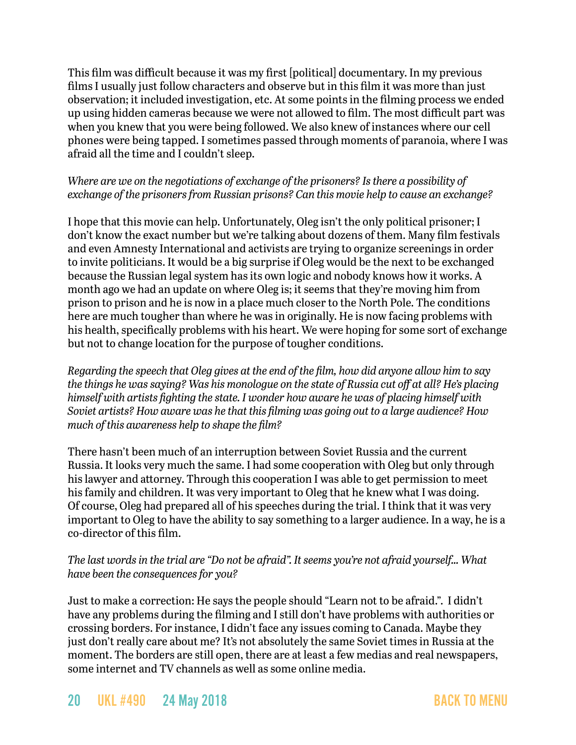This film was difficult because it was my first [political] documentary. In my previous films I usually just follow characters and observe but in this film it was more than just observation; it included investigation, etc. At some points in the filming process we ended up using hidden cameras because we were not allowed to film. The most difficult part was when you knew that you were being followed. We also knew of instances where our cell phones were being tapped. I sometimes passed through moments of paranoia, where I was afraid all the time and I couldn't sleep.

### *Where are we on the negotiations of exchange of the prisoners? Is there a possibility of exchange of the prisoners from Russian prisons? Can this movie help to cause an exchange?*

I hope that this movie can help. Unfortunately, Oleg isn't the only political prisoner; I don't know the exact number but we're talking about dozens of them. Many film festivals and even Amnesty International and activists are trying to organize screenings in order to invite politicians. It would be a big surprise if Oleg would be the next to be exchanged because the Russian legal system has its own logic and nobody knows how it works. A month ago we had an update on where Oleg is; it seems that they're moving him from prison to prison and he is now in a place much closer to the North Pole. The conditions here are much tougher than where he was in originally. He is now facing problems with his health, specifically problems with his heart. We were hoping for some sort of exchange but not to change location for the purpose of tougher conditions.

*Regarding the speech that Oleg gives at the end of the film, how did anyone allow him to say the things he was saying? Was his monologue on the state of Russia cut off at all? He's placing himself with artists fighting the state. I wonder how aware he was of placing himself with Soviet artists? How aware was he that this filming was going out to a large audience? How much of this awareness help to shape the film?*

There hasn't been much of an interruption between Soviet Russia and the current Russia. It looks very much the same. I had some cooperation with Oleg but only through his lawyer and attorney. Through this cooperation I was able to get permission to meet his family and children. It was very important to Oleg that he knew what I was doing. Of course, Oleg had prepared all of his speeches during the trial. I think that it was very important to Oleg to have the ability to say something to a larger audience. In a way, he is a co-director of this film.

### *The last words in the trial are "Do not be afraid". It seems you're not afraid yourself… What have been the consequences for you?*

Just to make a correction: He says the people should "Learn not to be afraid.". I didn't have any problems during the filming and I still don't have problems with authorities or crossing borders. For instance, I didn't face any issues coming to Canada. Maybe they just don't really care about me? It's not absolutely the same Soviet times in Russia at the moment. The borders are still open, there are at least a few medias and real newspapers, some internet and TV channels as well as some online media.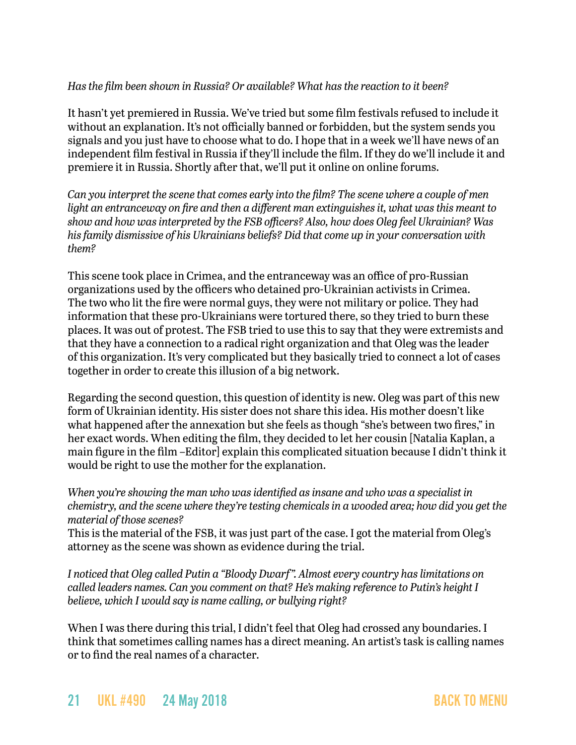### *Has the film been shown in Russia? Or available? What has the reaction to it been?*

It hasn't yet premiered in Russia. We've tried but some film festivals refused to include it without an explanation. It's not officially banned or forbidden, but the system sends you signals and you just have to choose what to do. I hope that in a week we'll have news of an independent film festival in Russia if they'll include the film. If they do we'll include it and premiere it in Russia. Shortly after that, we'll put it online on online forums.

*Can you interpret the scene that comes early into the film? The scene where a couple of men light an entranceway on fire and then a different man extinguishes it, what was this meant to show and how was interpreted by the FSB officers? Also, how does Oleg feel Ukrainian? Was his family dismissive of his Ukrainians beliefs? Did that come up in your conversation with them?*

This scene took place in Crimea, and the entranceway was an office of pro-Russian organizations used by the officers who detained pro-Ukrainian activists in Crimea. The two who lit the fire were normal guys, they were not military or police. They had information that these pro-Ukrainians were tortured there, so they tried to burn these places. It was out of protest. The FSB tried to use this to say that they were extremists and that they have a connection to a radical right organization and that Oleg was the leader of this organization. It's very complicated but they basically tried to connect a lot of cases together in order to create this illusion of a big network.

Regarding the second question, this question of identity is new. Oleg was part of this new form of Ukrainian identity. His sister does not share this idea. His mother doesn't like what happened after the annexation but she feels as though "she's between two fires," in her exact words. When editing the film, they decided to let her cousin [Natalia Kaplan, a main figure in the film –Editor] explain this complicated situation because I didn't think it would be right to use the mother for the explanation.

*When you're showing the man who was identified as insane and who was a specialist in chemistry, and the scene where they're testing chemicals in a wooded area; how did you get the material of those scenes?*

This is the material of the FSB, it was just part of the case. I got the material from Oleg's attorney as the scene was shown as evidence during the trial.

*I noticed that Oleg called Putin a "Bloody Dwarf ". Almost every country has limitations on called leaders names. Can you comment on that? He's making reference to Putin's height I believe, which I would say is name calling, or bullying right?*

When I was there during this trial, I didn't feel that Oleg had crossed any boundaries. I think that sometimes calling names has a direct meaning. An artist's task is calling names or to find the real names of a character.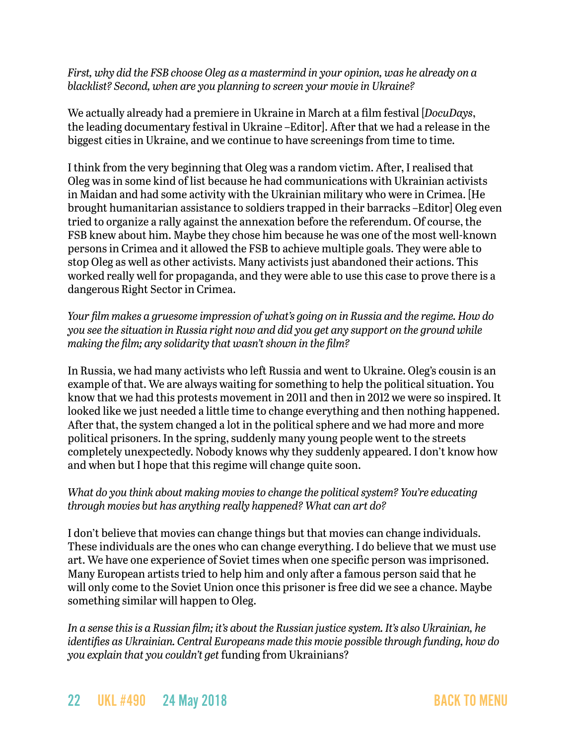*First, why did the FSB choose Oleg as a mastermind in your opinion, was he already on a blacklist? Second, when are you planning to screen your movie in Ukraine?*

We actually already had a premiere in Ukraine in March at a film festival [*DocuDays*, the leading documentary festival in Ukraine –Editor]. After that we had a release in the biggest cities in Ukraine, and we continue to have screenings from time to time.

I think from the very beginning that Oleg was a random victim. After, I realised that Oleg was in some kind of list because he had communications with Ukrainian activists in Maidan and had some activity with the Ukrainian military who were in Crimea. [He brought humanitarian assistance to soldiers trapped in their barracks –Editor] Oleg even tried to organize a rally against the annexation before the referendum. Of course, the FSB knew about him. Maybe they chose him because he was one of the most well-known persons in Crimea and it allowed the FSB to achieve multiple goals. They were able to stop Oleg as well as other activists. Many activists just abandoned their actions. This worked really well for propaganda, and they were able to use this case to prove there is a dangerous Right Sector in Crimea.

*Your film makes a gruesome impression of what's going on in Russia and the regime. How do you see the situation in Russia right now and did you get any support on the ground while making the film; any solidarity that wasn't shown in the film?*

In Russia, we had many activists who left Russia and went to Ukraine. Oleg's cousin is an example of that. We are always waiting for something to help the political situation. You know that we had this protests movement in 2011 and then in 2012 we were so inspired. It looked like we just needed a little time to change everything and then nothing happened. After that, the system changed a lot in the political sphere and we had more and more political prisoners. In the spring, suddenly many young people went to the streets completely unexpectedly. Nobody knows why they suddenly appeared. I don't know how and when but I hope that this regime will change quite soon.

### *What do you think about making movies to change the political system? You're educating through movies but has anything really happened? What can art do?*

I don't believe that movies can change things but that movies can change individuals. These individuals are the ones who can change everything. I do believe that we must use art. We have one experience of Soviet times when one specific person was imprisoned. Many European artists tried to help him and only after a famous person said that he will only come to the Soviet Union once this prisoner is free did we see a chance. Maybe something similar will happen to Oleg.

*In a sense this is a Russian film; it's about the Russian justice system. It's also Ukrainian, he identifies as Ukrainian. Central Europeans made this movie possible through funding, how do you explain that you couldn't get* funding from Ukrainians?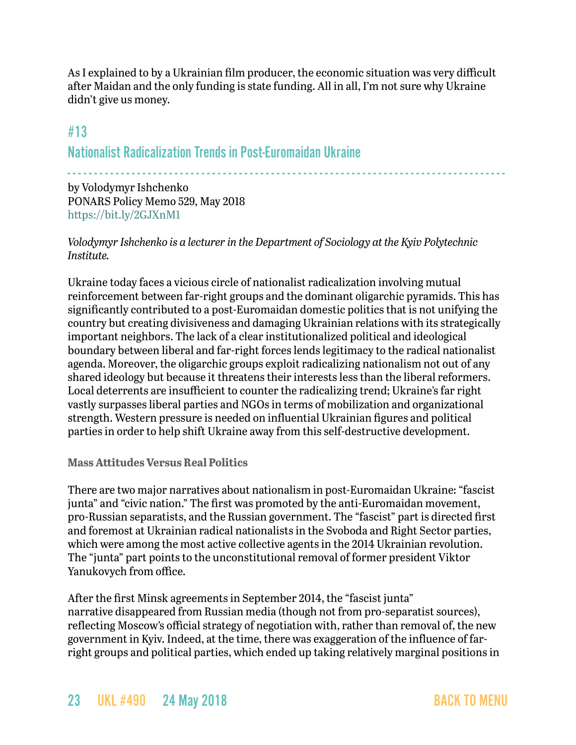As I explained to by a Ukrainian film producer, the economic situation was very difficult after Maidan and the only funding is state funding. All in all, I'm not sure why Ukraine didn't give us money.

### <span id="page-22-0"></span>#13

Nationalist Radicalization Trends in Post-Euromaidan Ukraine

- - - - - - - - - - - - - - - - - - - - - - - - - - - - - - - - - - - - - - - - - - - - - - - - - - - - - - - - - - - - - - - - - - - - - - - - - - - - - - - - - -

by Volodymyr Ishchenko PONARS Policy Memo 529, May 2018 <https://bit.ly/2GJXnM1>

### *Volodymyr Ishchenko is a lecturer in the Department of Sociology at the Kyiv Polytechnic Institute.*

Ukraine today faces a vicious circle of nationalist radicalization involving mutual reinforcement between far-right groups and the dominant oligarchic pyramids. This has significantly contributed to a post-Euromaidan domestic politics that is not unifying the country but creating divisiveness and damaging Ukrainian relations with its strategically important neighbors. The lack of a clear institutionalized political and ideological boundary between liberal and far-right forces lends legitimacy to the radical nationalist agenda. Moreover, the oligarchic groups exploit radicalizing nationalism not out of any shared ideology but because it threatens their interests less than the liberal reformers. Local deterrents are insufficient to counter the radicalizing trend; Ukraine's far right vastly surpasses liberal parties and NGOs in terms of mobilization and organizational strength. Western pressure is needed on influential Ukrainian figures and political parties in order to help shift Ukraine away from this self-destructive development.

#### **Mass Attitudes Versus Real Politics**

There are two major narratives about nationalism in post-Euromaidan Ukraine: "fascist junta" and "civic nation." The first was promoted by the anti-Euromaidan movement, pro-Russian separatists, and the Russian government. The "fascist" part is directed first and foremost at Ukrainian radical nationalists in the Svoboda and Right Sector parties, which were among the most active collective agents in the 2014 Ukrainian revolution. The "junta" part points to the unconstitutional removal of former president Viktor Yanukovych from office.

After the first Minsk agreements in September 2014, the "fascist junta" narrative disappeared from Russian media (though not from pro-separatist sources), reflecting Moscow's official strategy of negotiation with, rather than removal of, the new government in Kyiv. Indeed, at the time, there was exaggeration of the influence of farright groups and political parties, which ended up taking relatively marginal positions in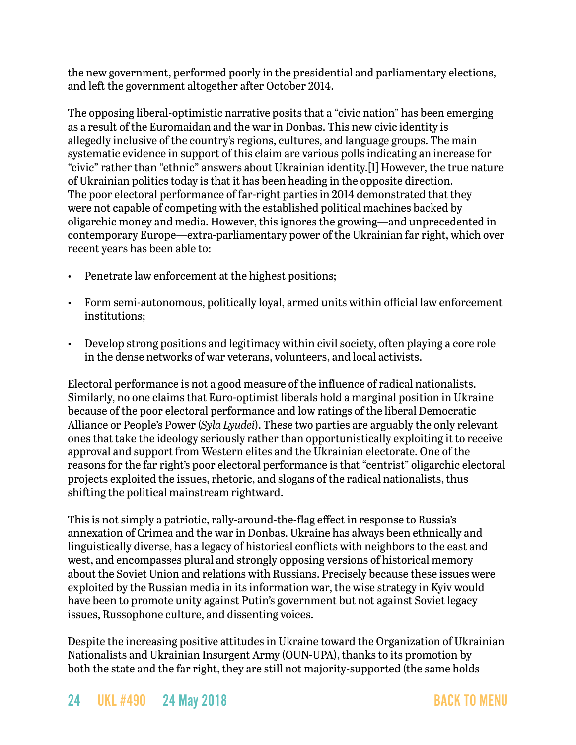the new government, performed poorly in the presidential and parliamentary elections, and left the government altogether after October 2014.

The opposing liberal-optimistic narrative posits that a "civic nation" has been emerging as a result of the Euromaidan and the war in Donbas. This new civic identity is allegedly inclusive of the country's regions, cultures, and language groups. The main systematic evidence in support of this claim are various polls indicating an increase for "civic" rather than "ethnic" answers about Ukrainian identity.[1] However, the true nature of Ukrainian politics today is that it has been heading in the opposite direction. The poor electoral performance of far-right parties in 2014 demonstrated that they were not capable of competing with the established political machines backed by oligarchic money and media. However, this ignores the growing—and unprecedented in contemporary Europe—extra-parliamentary power of the Ukrainian far right, which over recent years has been able to:

- Penetrate law enforcement at the highest positions;
- Form semi-autonomous, politically loyal, armed units within official law enforcement institutions;
- Develop strong positions and legitimacy within civil society, often playing a core role in the dense networks of war veterans, volunteers, and local activists.

Electoral performance is not a good measure of the influence of radical nationalists. Similarly, no one claims that Euro-optimist liberals hold a marginal position in Ukraine because of the poor electoral performance and low ratings of the liberal Democratic Alliance or People's Power (*Syla Lyudei*). These two parties are arguably the only relevant ones that take the ideology seriously rather than opportunistically exploiting it to receive approval and support from Western elites and the Ukrainian electorate. One of the reasons for the far right's poor electoral performance is that "centrist" oligarchic electoral projects exploited the issues, rhetoric, and slogans of the radical nationalists, thus shifting the political mainstream rightward.

This is not simply a patriotic, rally-around-the-flag effect in response to Russia's annexation of Crimea and the war in Donbas. Ukraine has always been ethnically and linguistically diverse, has a legacy of historical conflicts with neighbors to the east and west, and encompasses plural and strongly opposing versions of historical memory about the Soviet Union and relations with Russians. Precisely because these issues were exploited by the Russian media in its information war, the wise strategy in Kyiv would have been to promote unity against Putin's government but not against Soviet legacy issues, Russophone culture, and dissenting voices.

Despite the increasing positive attitudes in Ukraine toward the Organization of Ukrainian Nationalists and Ukrainian Insurgent Army (OUN-UPA), thanks to its promotion by both the state and the far right, they are still not majority-supported (the same holds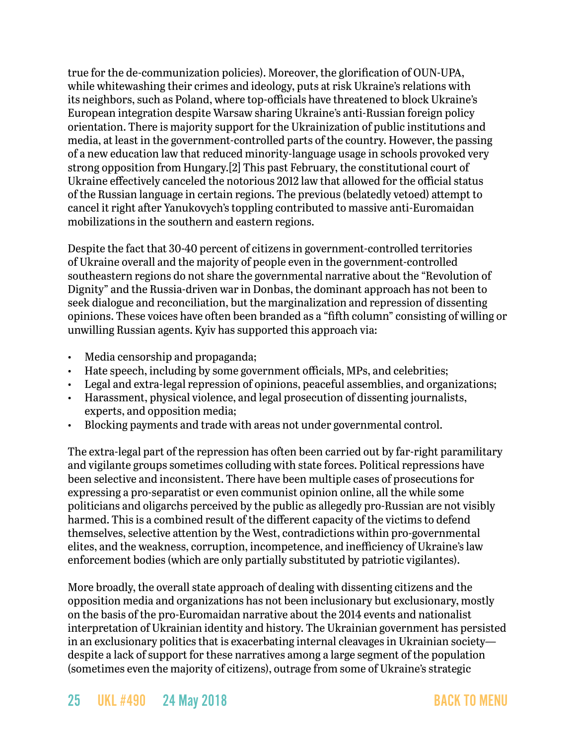true for the de-communization policies). Moreover, the glorification of OUN-UPA, while whitewashing their crimes and ideology, puts at risk Ukraine's relations with its neighbors, such as Poland, where top-officials have threatened to block Ukraine's European integration despite Warsaw sharing Ukraine's anti-Russian foreign policy orientation. There is majority support for the Ukrainization of public institutions and media, at least in the government-controlled parts of the country. However, the passing of a new education law that reduced minority-language usage in schools provoked very strong opposition from Hungary.[2] This past February, the constitutional court of Ukraine effectively canceled the notorious 2012 law that allowed for the official status of the Russian language in certain regions. The previous (belatedly vetoed) attempt to cancel it right after Yanukovych's toppling contributed to massive anti-Euromaidan mobilizations in the southern and eastern regions.

Despite the fact that 30-40 percent of citizens in government-controlled territories of Ukraine overall and the majority of people even in the government-controlled southeastern regions do not share the governmental narrative about the "Revolution of Dignity" and the Russia-driven war in Donbas, the dominant approach has not been to seek dialogue and reconciliation, but the marginalization and repression of dissenting opinions. These voices have often been branded as a "fifth column" consisting of willing or unwilling Russian agents. Kyiv has supported this approach via:

- Media censorship and propaganda;
- Hate speech, including by some government officials, MPs, and celebrities;
- Legal and extra-legal repression of opinions, peaceful assemblies, and organizations;
- Harassment, physical violence, and legal prosecution of dissenting journalists, experts, and opposition media;
- Blocking payments and trade with areas not under governmental control.

The extra-legal part of the repression has often been carried out by far-right paramilitary and vigilante groups sometimes colluding with state forces. Political repressions have been selective and inconsistent. There have been multiple cases of prosecutions for expressing a pro-separatist or even communist opinion online, all the while some politicians and oligarchs perceived by the public as allegedly pro-Russian are not visibly harmed. This is a combined result of the different capacity of the victims to defend themselves, selective attention by the West, contradictions within pro-governmental elites, and the weakness, corruption, incompetence, and inefficiency of Ukraine's law enforcement bodies (which are only partially substituted by patriotic vigilantes).

More broadly, the overall state approach of dealing with dissenting citizens and the opposition media and organizations has not been inclusionary but exclusionary, mostly on the basis of the pro-Euromaidan narrative about the 2014 events and nationalist interpretation of Ukrainian identity and history. The Ukrainian government has persisted in an exclusionary politics that is exacerbating internal cleavages in Ukrainian society despite a lack of support for these narratives among a large segment of the population (sometimes even the majority of citizens), outrage from some of Ukraine's strategic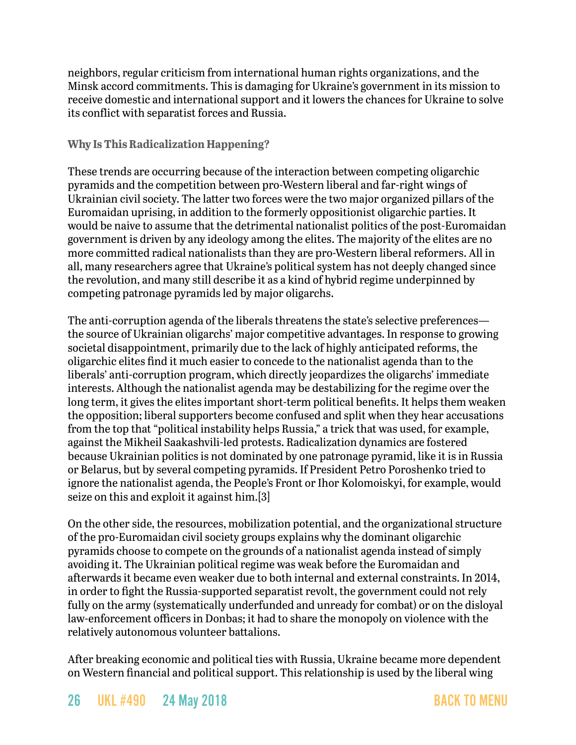neighbors, regular criticism from international human rights organizations, and the Minsk accord commitments. This is damaging for Ukraine's government in its mission to receive domestic and international support and it lowers the chances for Ukraine to solve its conflict with separatist forces and Russia.

### **Why Is This Radicalization Happening?**

These trends are occurring because of the interaction between competing oligarchic pyramids and the competition between pro-Western liberal and far-right wings of Ukrainian civil society. The latter two forces were the two major organized pillars of the Euromaidan uprising, in addition to the formerly oppositionist oligarchic parties. It would be naive to assume that the detrimental nationalist politics of the post-Euromaidan government is driven by any ideology among the elites. The majority of the elites are no more committed radical nationalists than they are pro-Western liberal reformers. All in all, many researchers agree that Ukraine's political system has not deeply changed since the revolution, and many still describe it as a kind of hybrid regime underpinned by competing patronage pyramids led by major oligarchs.

The anti-corruption agenda of the liberals threatens the state's selective preferences the source of Ukrainian oligarchs' major competitive advantages. In response to growing societal disappointment, primarily due to the lack of highly anticipated reforms, the oligarchic elites find it much easier to concede to the nationalist agenda than to the liberals' anti-corruption program, which directly jeopardizes the oligarchs' immediate interests. Although the nationalist agenda may be destabilizing for the regime over the long term, it gives the elites important short-term political benefits. It helps them weaken the opposition; liberal supporters become confused and split when they hear accusations from the top that "political instability helps Russia," a trick that was used, for example, against the Mikheil Saakashvili-led protests. Radicalization dynamics are fostered because Ukrainian politics is not dominated by one patronage pyramid, like it is in Russia or Belarus, but by several competing pyramids. If President Petro Poroshenko tried to ignore the nationalist agenda, the People's Front or Ihor Kolomoiskyi, for example, would seize on this and exploit it against him.[3]

On the other side, the resources, mobilization potential, and the organizational structure of the pro-Euromaidan civil society groups explains why the dominant oligarchic pyramids choose to compete on the grounds of a nationalist agenda instead of simply avoiding it. The Ukrainian political regime was weak before the Euromaidan and afterwards it became even weaker due to both internal and external constraints. In 2014, in order to fight the Russia-supported separatist revolt, the government could not rely fully on the army (systematically underfunded and unready for combat) or on the disloyal law-enforcement officers in Donbas; it had to share the monopoly on violence with the relatively autonomous volunteer battalions.

After breaking economic and political ties with Russia, Ukraine became more dependent on Western financial and political support. This relationship is used by the liberal wing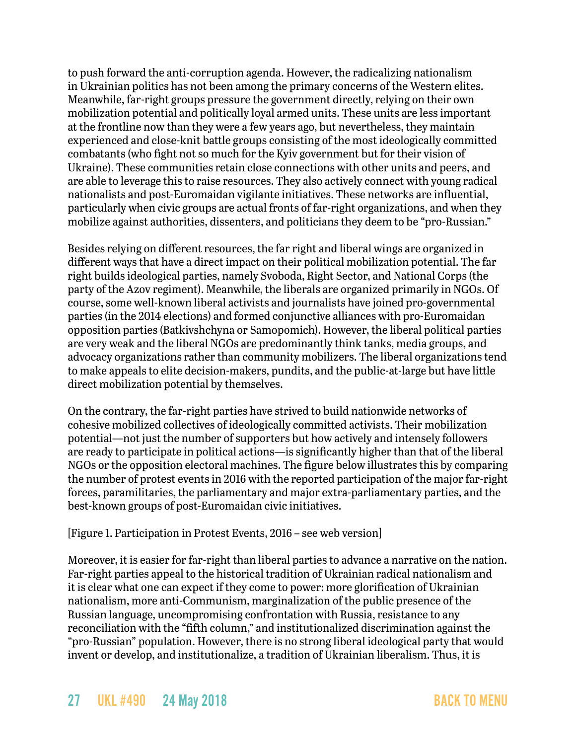to push forward the anti-corruption agenda. However, the radicalizing nationalism in Ukrainian politics has not been among the primary concerns of the Western elites. Meanwhile, far-right groups pressure the government directly, relying on their own mobilization potential and politically loyal armed units. These units are less important at the frontline now than they were a few years ago, but nevertheless, they maintain experienced and close-knit battle groups consisting of the most ideologically committed combatants (who fight not so much for the Kyiv government but for their vision of Ukraine). These communities retain close connections with other units and peers, and are able to leverage this to raise resources. They also actively connect with young radical nationalists and post-Euromaidan vigilante initiatives. These networks are influential, particularly when civic groups are actual fronts of far-right organizations, and when they mobilize against authorities, dissenters, and politicians they deem to be "pro-Russian."

Besides relying on different resources, the far right and liberal wings are organized in different ways that have a direct impact on their political mobilization potential. The far right builds ideological parties, namely Svoboda, Right Sector, and National Corps (the party of the Azov regiment). Meanwhile, the liberals are organized primarily in NGOs. Of course, some well-known liberal activists and journalists have joined pro-governmental parties (in the 2014 elections) and formed conjunctive alliances with pro-Euromaidan opposition parties (Batkivshchyna or Samopomich). However, the liberal political parties are very weak and the liberal NGOs are predominantly think tanks, media groups, and advocacy organizations rather than community mobilizers. The liberal organizations tend to make appeals to elite decision-makers, pundits, and the public-at-large but have little direct mobilization potential by themselves.

On the contrary, the far-right parties have strived to build nationwide networks of cohesive mobilized collectives of ideologically committed activists. Their mobilization potential—not just the number of supporters but how actively and intensely followers are ready to participate in political actions—is significantly higher than that of the liberal NGOs or the opposition electoral machines. The figure below illustrates this by comparing the number of protest events in 2016 with the reported participation of the major far-right forces, paramilitaries, the parliamentary and major extra-parliamentary parties, and the best-known groups of post-Euromaidan civic initiatives.

### [Figure 1. Participation in Protest Events, 2016 – see web version]

Moreover, it is easier for far-right than liberal parties to advance a narrative on the nation. Far-right parties appeal to the historical tradition of Ukrainian radical nationalism and it is clear what one can expect if they come to power: more glorification of Ukrainian nationalism, more anti-Communism, marginalization of the public presence of the Russian language, uncompromising confrontation with Russia, resistance to any reconciliation with the "fifth column," and institutionalized discrimination against the "pro-Russian" population. However, there is no strong liberal ideological party that would invent or develop, and institutionalize, a tradition of Ukrainian liberalism. Thus, it is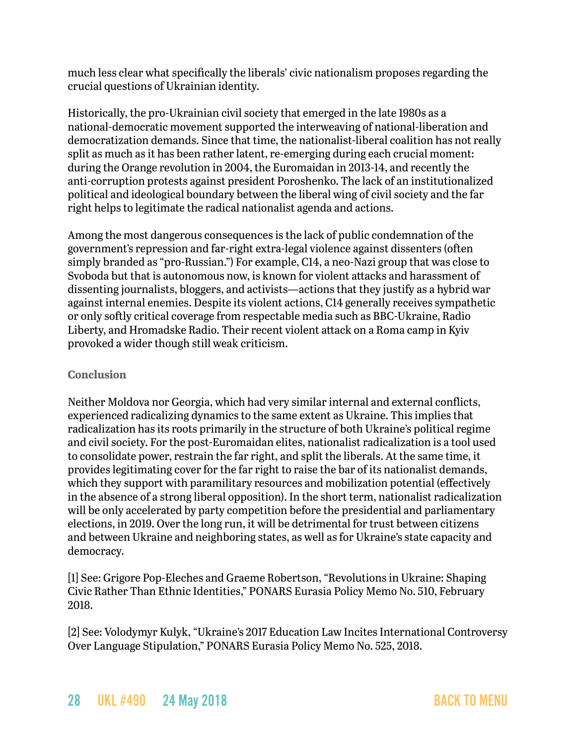much less clear what specifically the liberals' civic nationalism proposes regarding the crucial questions of Ukrainian identity.

Historically, the pro-Ukrainian civil society that emerged in the late 1980s as a national-democratic movement supported the interweaving of national-liberation and democratization demands. Since that time, the nationalist-liberal coalition has not really split as much as it has been rather latent, re-emerging during each crucial moment: during the Orange revolution in 2004, the Euromaidan in 2013-14, and recently the anti-corruption protests against president Poroshenko. The lack of an institutionalized political and ideological boundary between the liberal wing of civil society and the far right helps to legitimate the radical nationalist agenda and actions.

Among the most dangerous consequences is the lack of public condemnation of the government's repression and far-right extra-legal violence against dissenters (often simply branded as "pro-Russian.") For example, C14, a neo-Nazi group that was close to Svoboda but that is autonomous now, is known for violent attacks and harassment of dissenting journalists, bloggers, and activists—actions that they justify as a hybrid war against internal enemies. Despite its violent actions, C14 generally receives sympathetic or only softly critical coverage from respectable media such as BBC-Ukraine, Radio Liberty, and Hromadske Radio. Their recent violent attack on a Roma camp in Kyiv provoked a wider though still weak criticism.

#### **Conclusion**

Neither Moldova nor Georgia, which had very similar internal and external conflicts, experienced radicalizing dynamics to the same extent as Ukraine. This implies that radicalization has its roots primarily in the structure of both Ukraine's political regime and civil society. For the post-Euromaidan elites, nationalist radicalization is a tool used to consolidate power, restrain the far right, and split the liberals. At the same time, it provides legitimating cover for the far right to raise the bar of its nationalist demands, which they support with paramilitary resources and mobilization potential (effectively in the absence of a strong liberal opposition). In the short term, nationalist radicalization will be only accelerated by party competition before the presidential and parliamentary elections, in 2019. Over the long run, it will be detrimental for trust between citizens and between Ukraine and neighboring states, as well as for Ukraine's state capacity and democracy.

[1] See: Grigore Pop-Eleches and Graeme Robertson, "Revolutions in Ukraine: Shaping Civic Rather Than Ethnic Identities," PONARS Eurasia Policy Memo No. 510, February 2018.

[2] See: Volodymyr Kulyk, "Ukraine's 2017 Education Law Incites International Controversy Over Language Stipulation," PONARS Eurasia Policy Memo No. 525, 2018.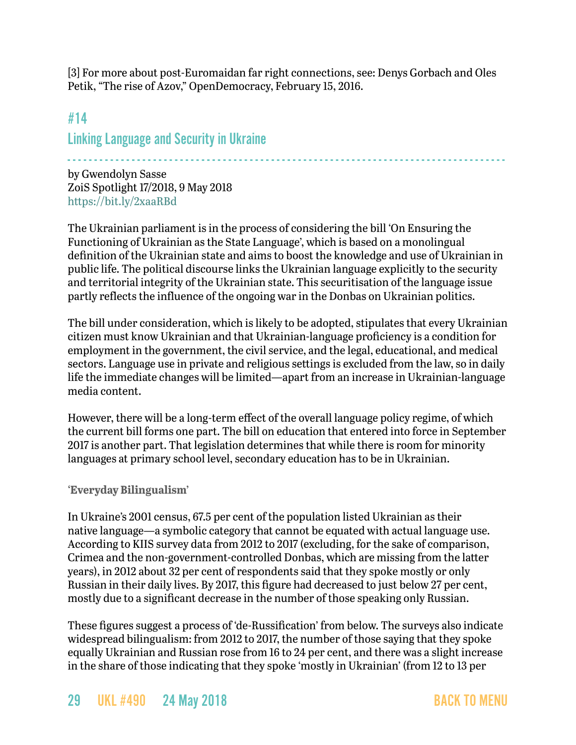[3] For more about post-Euromaidan far right connections, see: Denys Gorbach and Oles Petik, "The rise of Azov," OpenDemocracy, February 15, 2016.

## <span id="page-28-0"></span>#14 Linking Language and Security in Ukraine

- - - - - - - - - - - - - - - - - - - - - - - - - - - - - - - - - - - - - - - - - - - - - - - - - - - - - - - - - - - - - - - - - - - - - - - - - - - - - - - - - -

by Gwendolyn Sasse ZoiS Spotlight 17/2018, 9 May 2018 <https://bit.ly/2xaaRBd>

The Ukrainian parliament is in the process of considering the bill 'On Ensuring the Functioning of Ukrainian as the State Language', which is based on a monolingual definition of the Ukrainian state and aims to boost the knowledge and use of Ukrainian in public life. The political discourse links the Ukrainian language explicitly to the security and territorial integrity of the Ukrainian state. This securitisation of the language issue partly reflects the influence of the ongoing war in the Donbas on Ukrainian politics.

The bill under consideration, which is likely to be adopted, stipulates that every Ukrainian citizen must know Ukrainian and that Ukrainian-language proficiency is a condition for employment in the government, the civil service, and the legal, educational, and medical sectors. Language use in private and religious settings is excluded from the law, so in daily life the immediate changes will be limited—apart from an increase in Ukrainian-language media content.

However, there will be a long-term effect of the overall language policy regime, of which the current bill forms one part. The bill on education that entered into force in September 2017 is another part. That legislation determines that while there is room for minority languages at primary school level, secondary education has to be in Ukrainian.

#### **'Everyday Bilingualism'**

In Ukraine's 2001 census, 67.5 per cent of the population listed Ukrainian as their native language—a symbolic category that cannot be equated with actual language use. According to KIIS survey data from 2012 to 2017 (excluding, for the sake of comparison, Crimea and the non-government-controlled Donbas, which are missing from the latter years), in 2012 about 32 per cent of respondents said that they spoke mostly or only Russian in their daily lives. By 2017, this figure had decreased to just below 27 per cent, mostly due to a significant decrease in the number of those speaking only Russian.

These figures suggest a process of 'de-Russification' from below. The surveys also indicate widespread bilingualism: from 2012 to 2017, the number of those saying that they spoke equally Ukrainian and Russian rose from 16 to 24 per cent, and there was a slight increase in the share of those indicating that they spoke 'mostly in Ukrainian' (from 12 to 13 per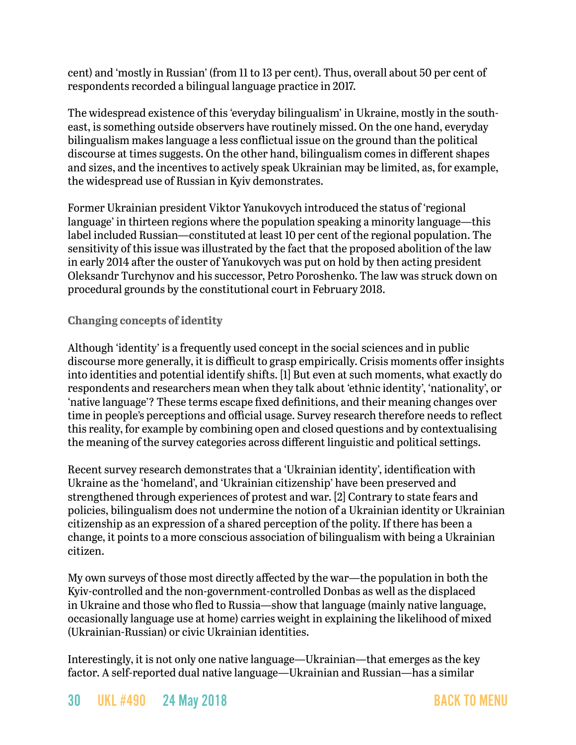cent) and 'mostly in Russian' (from 11 to 13 per cent). Thus, overall about 50 per cent of respondents recorded a bilingual language practice in 2017.

The widespread existence of this 'everyday bilingualism' in Ukraine, mostly in the southeast, is something outside observers have routinely missed. On the one hand, everyday bilingualism makes language a less conflictual issue on the ground than the political discourse at times suggests. On the other hand, bilingualism comes in different shapes and sizes, and the incentives to actively speak Ukrainian may be limited, as, for example, the widespread use of Russian in Kyiv demonstrates.

Former Ukrainian president Viktor Yanukovych introduced the status of 'regional language' in thirteen regions where the population speaking a minority language—this label included Russian—constituted at least 10 per cent of the regional population. The sensitivity of this issue was illustrated by the fact that the proposed abolition of the law in early 2014 after the ouster of Yanukovych was put on hold by then acting president Oleksandr Turchynov and his successor, Petro Poroshenko. The law was struck down on procedural grounds by the constitutional court in February 2018.

### **Changing concepts of identity**

Although 'identity' is a frequently used concept in the social sciences and in public discourse more generally, it is difficult to grasp empirically. Crisis moments offer insights into identities and potential identify shifts. [1] But even at such moments, what exactly do respondents and researchers mean when they talk about 'ethnic identity', 'nationality', or 'native language'? These terms escape fixed definitions, and their meaning changes over time in people's perceptions and official usage. Survey research therefore needs to reflect this reality, for example by combining open and closed questions and by contextualising the meaning of the survey categories across different linguistic and political settings.

Recent survey research demonstrates that a 'Ukrainian identity', identification with Ukraine as the 'homeland', and 'Ukrainian citizenship' have been preserved and strengthened through experiences of protest and war. [2] Contrary to state fears and policies, bilingualism does not undermine the notion of a Ukrainian identity or Ukrainian citizenship as an expression of a shared perception of the polity. If there has been a change, it points to a more conscious association of bilingualism with being a Ukrainian citizen.

My own surveys of those most directly affected by the war—the population in both the Kyiv-controlled and the non-government-controlled Donbas as well as the displaced in Ukraine and those who fled to Russia—show that language (mainly native language, occasionally language use at home) carries weight in explaining the likelihood of mixed (Ukrainian-Russian) or civic Ukrainian identities.

Interestingly, it is not only one native language—Ukrainian—that emerges as the key factor. A self-reported dual native language—Ukrainian and Russian—has a similar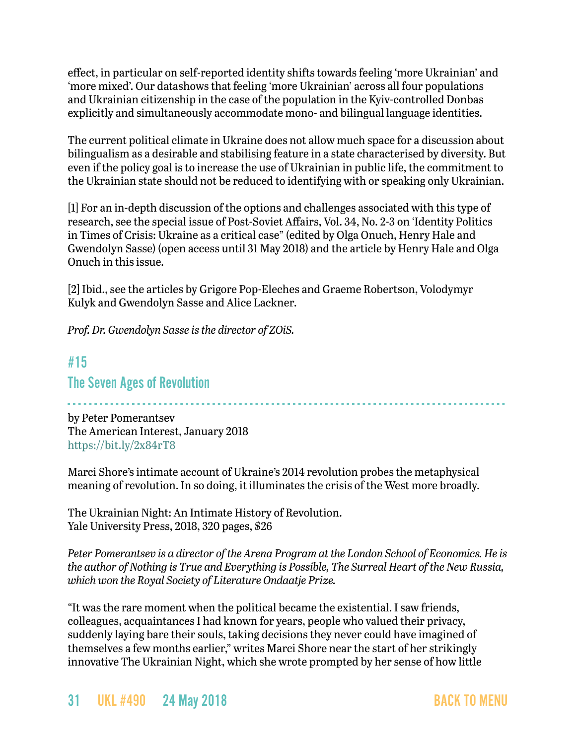effect, in particular on self-reported identity shifts towards feeling 'more Ukrainian' and 'more mixed'. [Our datas](https://doi.org/10.1080/1060586X.2018.1452209)hows that feeling 'more Ukrainian' across all four populations and Ukrainian citizenship in the case of the population in the Kyiv-controlled Donbas explicitly and simultaneously accommodate mono- and bilingual language identities.

The current political climate in Ukraine does not allow much space for a discussion about bilingualism as a desirable and stabilising feature in a state characterised by diversity. But even if the policy goal is to increase the use of Ukrainian in public life, the commitment to the Ukrainian state should not be reduced to identifying with or speaking only Ukrainian.

[1] For an in-depth discussion of the options and challenges associated with this type of research, see the special issue of Post-Soviet Affairs, Vol. 34, No. 2-3 on 'Identity Politics in Times of Crisis: Ukraine as a critical case" (edited by Olga Onuch, Henry Hale and Gwendolyn Sasse) (open access until 31 May 2018) and the article by Henry Hale and Olga Onuch in this issue.

[2] Ibid., see the articles by Grigore Pop-Eleches and Graeme Robertson, Volodymyr Kulyk and Gwendolyn Sasse and Alice Lackner.

*Prof. Dr. Gwendolyn Sasse is the director of ZOiS.*

## <span id="page-30-0"></span>#15 The Seven Ages of Revolution

- - - - - - - - - - - - - - - - - - - - - - - - - - - - - - - - - - - - - - - - - - - - - - - - - - - - - - - - - - - - - - - - - - - - - - - - - - - - - - - - - by Peter Pomerantsev The American Interest, January 2018 <https://bit.ly/2x84rT8>

Marci Shore's intimate account of Ukraine's 2014 revolution probes the metaphysical meaning of revolution. In so doing, it illuminates the crisis of the West more broadly.

The Ukrainian Night: An Intimate History of Revolution. Yale University Press, 2018, 320 pages, \$26

*Peter Pomerantsev is a director of the Arena Program at the London School of Economics. He is the author of Nothing is True and Everything is Possible, The Surreal Heart of the New Russia, which won the Royal Society of Literature Ondaatje Prize.*

"It was the rare moment when the political became the existential. I saw friends, colleagues, acquaintances I had known for years, people who valued their privacy, suddenly laying bare their souls, taking decisions they never could have imagined of themselves a few months earlier," writes Marci Shore near the start of her strikingly innovative The Ukrainian Night, which she wrote prompted by her sense of how little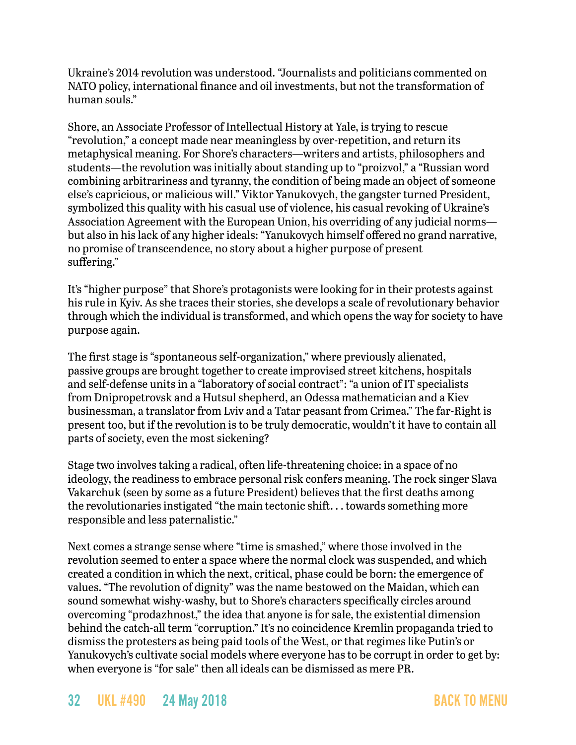Ukraine's 2014 revolution was understood. "Journalists and politicians commented on NATO policy, international finance and oil investments, but not the transformation of human souls."

Shore, an Associate Professor of Intellectual History at Yale, is trying to rescue "revolution," a concept made near meaningless by over-repetition, and return its metaphysical meaning. For Shore's characters—writers and artists, philosophers and students—the revolution was initially about standing up to "proizvol," a "Russian word combining arbitrariness and tyranny, the condition of being made an object of someone else's capricious, or malicious will." Viktor Yanukovych, the gangster turned President, symbolized this quality with his casual use of violence, his casual revoking of Ukraine's Association Agreement with the European Union, his overriding of any judicial norms but also in his lack of any higher ideals: "Yanukovych himself offered no grand narrative, no promise of transcendence, no story about a higher purpose of present suffering."

It's "higher purpose" that Shore's protagonists were looking for in their protests against his rule in Kyiv. As she traces their stories, she develops a scale of revolutionary behavior through which the individual is transformed, and which opens the way for society to have purpose again.

The first stage is "spontaneous self-organization," where previously alienated, passive groups are brought together to create improvised street kitchens, hospitals and self-defense units in a "laboratory of social contract": "a union of IT specialists from Dnipropetrovsk and a Hutsul shepherd, an Odessa mathematician and a Kiev businessman, a translator from Lviv and a Tatar peasant from Crimea." The far-Right is present too, but if the revolution is to be truly democratic, wouldn't it have to contain all parts of society, even the most sickening?

Stage two involves taking a radical, often life-threatening choice: in a space of no ideology, the readiness to embrace personal risk confers meaning. The rock singer Slava Vakarchuk (seen by some as a future President) believes that the first deaths among the revolutionaries instigated "the main tectonic shift. . . towards something more responsible and less paternalistic."

Next comes a strange sense where "time is smashed," where those involved in the revolution seemed to enter a space where the normal clock was suspended, and which created a condition in which the next, critical, phase could be born: the emergence of values. "The revolution of dignity" was the name bestowed on the Maidan, which can sound somewhat wishy-washy, but to Shore's characters specifically circles around overcoming "prodazhnost," the idea that anyone is for sale, the existential dimension behind the catch-all term "corruption." It's no coincidence Kremlin propaganda tried to dismiss the protesters as being paid tools of the West, or that regimes like Putin's or Yanukovych's cultivate social models where everyone has to be corrupt in order to get by: when everyone is "for sale" then all ideals can be dismissed as mere PR.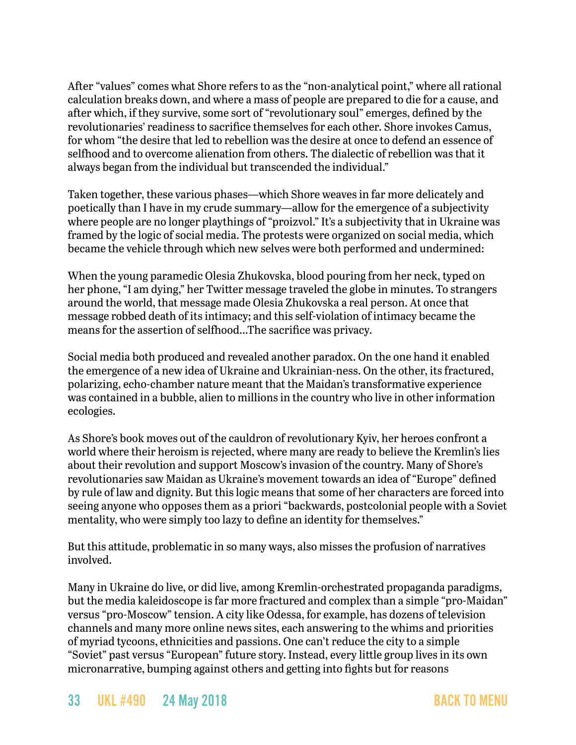After "values" comes what Shore refers to as the "non-analytical point," where all rational calculation breaks down, and where a mass of people are prepared to die for a cause, and after which, if they survive, some sort of "revolutionary soul" emerges, defined by the revolutionaries' readiness to sacrifice themselves for each other. Shore invokes Camus, for whom "the desire that led to rebellion was the desire at once to defend an essence of selfhood and to overcome alienation from others. The dialectic of rebellion was that it always began from the individual but transcended the individual."

Taken together, these various phases—which Shore weaves in far more delicately and poetically than I have in my crude summary—allow for the emergence of a subjectivity where people are no longer playthings of "proizvol." It's a subjectivity that in Ukraine was framed by the logic of social media. The protests were organized on social media, which became the vehicle through which new selves were both performed and undermined:

When the young paramedic Olesia Zhukovska, blood pouring from her neck, typed on her phone, "I am dying," her Twitter message traveled the globe in minutes. To strangers around the world, that message made Olesia Zhukovska a real person. At once that message robbed death of its intimacy; and this self-violation of intimacy became the means for the assertion of selfhood…The sacrifice was privacy.

Social media both produced and revealed another paradox. On the one hand it enabled the emergence of a new idea of Ukraine and Ukrainian-ness. On the other, its fractured, polarizing, echo-chamber nature meant that the Maidan's transformative experience was contained in a bubble, alien to millions in the country who live in other information ecologies.

As Shore's book moves out of the cauldron of revolutionary Kyiv, her heroes confront a world where their heroism is rejected, where many are ready to believe the Kremlin's lies about their revolution and support Moscow's invasion of the country. Many of Shore's revolutionaries saw Maidan as Ukraine's movement towards an idea of "Europe" defined by rule of law and dignity. But this logic means that some of her characters are forced into seeing anyone who opposes them as a priori "backwards, postcolonial people with a Soviet mentality, who were simply too lazy to define an identity for themselves."

But this attitude, problematic in so many ways, also misses the profusion of narratives involved.

Many in Ukraine do live, or did live, among Kremlin-orchestrated propaganda paradigms, but the media kaleidoscope is far more fractured and complex than a simple "pro-Maidan" versus "pro-Moscow" tension. A city like Odessa, for example, has dozens of television channels and many more online news sites, each answering to the whims and priorities of myriad tycoons, ethnicities and passions. One can't reduce the city to a simple "Soviet" past versus "European" future story. Instead, every little group lives in its own micronarrative, bumping against others and getting into fights but for reasons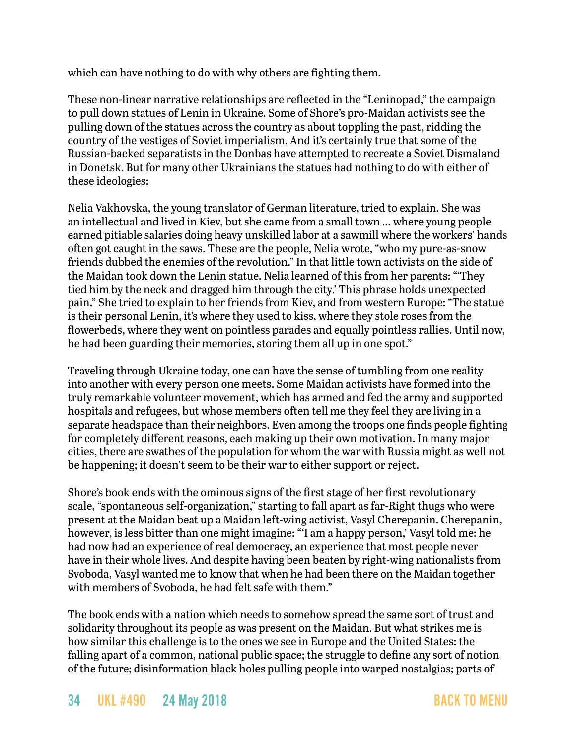which can have nothing to do with why others are fighting them.

These non-linear narrative relationships are reflected in the "Leninopad," the campaign to pull down statues of Lenin in Ukraine. Some of Shore's pro-Maidan activists see the pulling down of the statues across the country as about toppling the past, ridding the country of the vestiges of Soviet imperialism. And it's certainly true that some of the Russian-backed separatists in the Donbas have attempted to recreate a Soviet Dismaland in Donetsk. But for many other Ukrainians the statues had nothing to do with either of these ideologies:

Nelia Vakhovska, the young translator of German literature, tried to explain. She was an intellectual and lived in Kiev, but she came from a small town … where young people earned pitiable salaries doing heavy unskilled labor at a sawmill where the workers' hands often got caught in the saws. These are the people, Nelia wrote, "who my pure-as-snow friends dubbed the enemies of the revolution." In that little town activists on the side of the Maidan took down the Lenin statue. Nelia learned of this from her parents: "'They tied him by the neck and dragged him through the city.' This phrase holds unexpected pain." She tried to explain to her friends from Kiev, and from western Europe: "The statue is their personal Lenin, it's where they used to kiss, where they stole roses from the flowerbeds, where they went on pointless parades and equally pointless rallies. Until now, he had been guarding their memories, storing them all up in one spot."

Traveling through Ukraine today, one can have the sense of tumbling from one reality into another with every person one meets. Some Maidan activists have formed into the truly remarkable volunteer movement, which has armed and fed the army and supported hospitals and refugees, but whose members often tell me they feel they are living in a separate headspace than their neighbors. Even among the troops one finds people fighting for completely different reasons, each making up their own motivation. In many major cities, there are swathes of the population for whom the war with Russia might as well not be happening; it doesn't seem to be their war to either support or reject.

Shore's book ends with the ominous signs of the first stage of her first revolutionary scale, "spontaneous self-organization," starting to fall apart as far-Right thugs who were present at the Maidan beat up a Maidan left-wing activist, Vasyl Cherepanin. Cherepanin, however, is less bitter than one might imagine: "'I am a happy person,' Vasyl told me: he had now had an experience of real democracy, an experience that most people never have in their whole lives. And despite having been beaten by right-wing nationalists from Svoboda, Vasyl wanted me to know that when he had been there on the Maidan together with members of Svoboda, he had felt safe with them."

The book ends with a nation which needs to somehow spread the same sort of trust and solidarity throughout its people as was present on the Maidan. But what strikes me is how similar this challenge is to the ones we see in Europe and the United States: the falling apart of a common, national public space; the struggle to define any sort of notion of the future; disinformation black holes pulling people into warped nostalgias; parts of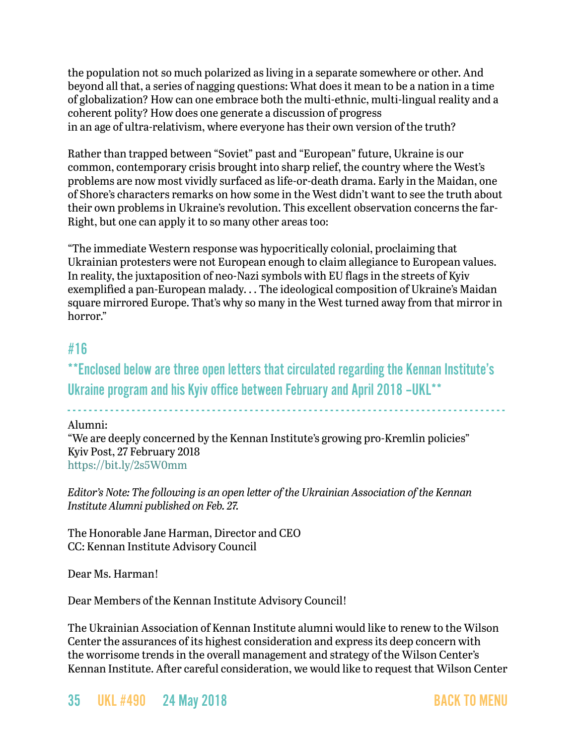the population not so much polarized as living in a separate somewhere or other. And beyond all that, a series of nagging questions: What does it mean to be a nation in a time of globalization? How can one embrace both the multi-ethnic, multi-lingual reality and a coherent polity? How does one generate a discussion of progress in an age of ultra-relativism, where everyone has their own version of the truth?

Rather than trapped between "Soviet" past and "European" future, Ukraine is our common, contemporary crisis brought into sharp relief, the country where the West's problems are now most vividly surfaced as life-or-death drama. Early in the Maidan, one of Shore's characters remarks on how some in the West didn't want to see the truth about their own problems in Ukraine's revolution. This excellent observation concerns the far-Right, but one can apply it to so many other areas too:

"The immediate Western response was hypocritically colonial, proclaiming that Ukrainian protesters were not European enough to claim allegiance to European values. In reality, the juxtaposition of neo-Nazi symbols with EU flags in the streets of Kyiv exemplified a pan-European malady. . . The ideological composition of Ukraine's Maidan square mirrored Europe. That's why so many in the West turned away from that mirror in horror."

### <span id="page-34-0"></span>#16

\*\*Enclosed below are three open letters that circulated regarding the Kennan Institute's Ukraine program and his Kyiv office between February and April 2018 –UKL\*\*

- - - - - - - - - - - - - - - - - - - - - - - - - - - - - - - - - - - - - - - - - - - - - - - - - - - - - - - - - - - - - - - - - - - - - - - - - - - - - - - - - -

Alumni:

"We are deeply concerned by the Kennan Institute's growing pro-Kremlin policies" Kyiv Post, 27 February 2018 <https://bit.ly/2s5W0mm>

*Editor's Note: The following is an open letter of the Ukrainian Association of the Kennan Institute Alumni published on Feb. 27.*

The Honorable Jane Harman, Director and CEO CC: Kennan Institute Advisory Council

Dear Ms. Harman!

Dear Members of the Kennan Institute Advisory Council!

The Ukrainian Association of Kennan Institute alumni would like to renew to the Wilson Center the assurances of its highest consideration and express its deep concern with the worrisome trends in the overall management and strategy of the Wilson Center's Kennan Institute. After careful consideration, we would like to request that Wilson Center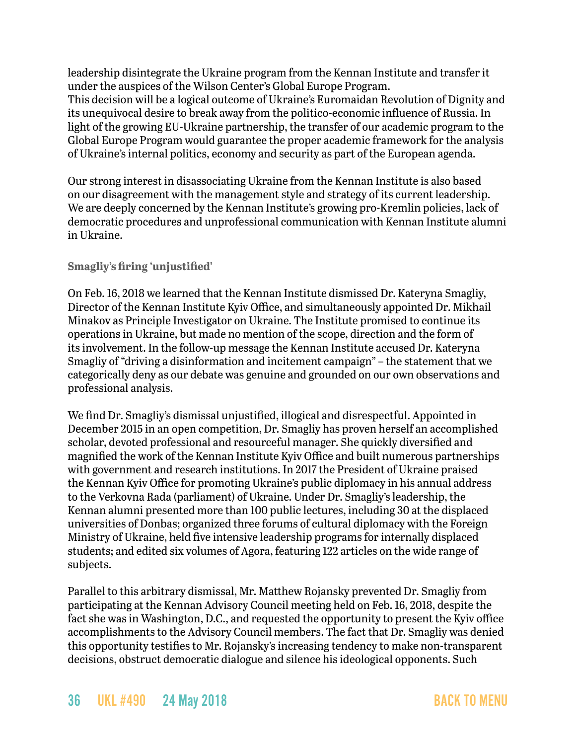leadership disintegrate the Ukraine program from the Kennan Institute and transfer it under the auspices of the Wilson Center's Global Europe Program.

This decision will be a logical outcome of Ukraine's Euromaidan Revolution of Dignity and its unequivocal desire to break away from the politico-economic influence of Russia. In light of the growing EU-Ukraine partnership, the transfer of our academic program to the Global Europe Program would guarantee the proper academic framework for the analysis of Ukraine's internal politics, economy and security as part of the European agenda.

Our strong interest in disassociating Ukraine from the Kennan Institute is also based on our disagreement with the management style and strategy of its current leadership. We are deeply concerned by the Kennan Institute's growing pro-Kremlin policies, lack of democratic procedures and unprofessional communication with Kennan Institute alumni in Ukraine.

#### **Smagliy's firing 'unjustified'**

On Feb. 16, 2018 we learned that the Kennan Institute dismissed Dr. Kateryna Smagliy, Director of the Kennan Institute Kyiv Office, and simultaneously appointed Dr. Mikhail Minakov as Principle Investigator on Ukraine. The Institute promised to continue its operations in Ukraine, but made no mention of the scope, direction and the form of its involvement. In the follow-up message the Kennan Institute accused Dr. Kateryna Smagliy of "driving a disinformation and incitement campaign" – the statement that we categorically deny as our debate was genuine and grounded on our own observations and professional analysis.

We find Dr. Smagliy's dismissal unjustified, illogical and disrespectful. Appointed in December 2015 in an open competition, Dr. Smagliy has proven herself an accomplished scholar, devoted professional and resourceful manager. She quickly diversified and magnified the work of the Kennan Institute Kyiv Office and built numerous partnerships with government and research institutions. In 2017 the President of Ukraine praised the Kennan Kyiv Office for promoting Ukraine's public diplomacy in his annual address to the Verkovna Rada (parliament) of Ukraine. Under Dr. Smagliy's leadership, the Kennan alumni presented more than 100 public lectures, including 30 at the displaced universities of Donbas; organized three forums of cultural diplomacy with the Foreign Ministry of Ukraine, held five intensive leadership programs for internally displaced students; and edited six volumes of Agora, featuring 122 articles on the wide range of subjects.

Parallel to this arbitrary dismissal, Mr. Matthew Rojansky prevented Dr. Smagliy from participating at the Kennan Advisory Council meeting held on Feb. 16, 2018, despite the fact she was in Washington, D.C., and requested the opportunity to present the Kyiv office accomplishments to the Advisory Council members. The fact that Dr. Smagliy was denied this opportunity testifies to Mr. Rojansky's increasing tendency to make non-transparent decisions, obstruct democratic dialogue and silence his ideological opponents. Such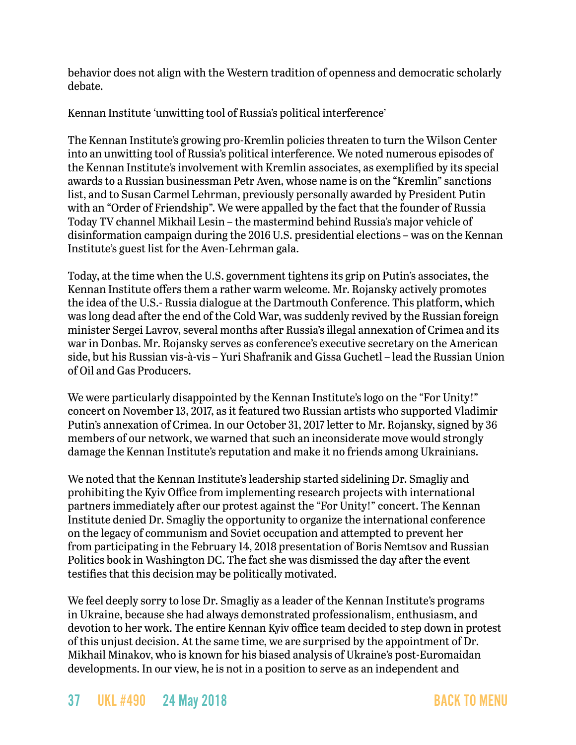behavior does not align with the Western tradition of openness and democratic scholarly debate.

Kennan Institute 'unwitting tool of Russia's political interference'

The Kennan Institute's growing pro-Kremlin policies threaten to turn the Wilson Center into an unwitting tool of Russia's political interference. We noted numerous episodes of the Kennan Institute's involvement with Kremlin associates, as exemplified by its special awards to a Russian businessman Petr Aven, whose name is on the "Kremlin" sanctions list, and to Susan Carmel Lehrman, previously personally awarded by President Putin with an "Order of Friendship". We were appalled by the fact that the founder of Russia Today TV channel Mikhail Lesin – the mastermind behind Russia's major vehicle of disinformation campaign during the 2016 U.S. presidential elections – was on the Kennan Institute's guest list for the Aven-Lehrman gala.

Today, at the time when the U.S. government tightens its grip on Putin's associates, the Kennan Institute offers them a rather warm welcome. Mr. Rojansky actively promotes the idea of the U.S.- Russia dialogue at the Dartmouth Conference. This platform, which was long dead after the end of the Cold War, was suddenly revived by the Russian foreign minister Sergei Lavrov, several months after Russia's illegal annexation of Crimea and its war in Donbas. Mr. Rojansky serves as conference's executive secretary on the American side, but his Russian vis-à-vis – Yuri Shafranik and Gissa Guchetl – lead the Russian Union of Oil and Gas Producers.

We were particularly disappointed by the Kennan Institute's logo on the "For Unity!" concert on November 13, 2017, as it featured two Russian artists who supported Vladimir Putin's annexation of Crimea. In our October 31, 2017 letter to Mr. Rojansky, signed by 36 members of our network, we warned that such an inconsiderate move would strongly damage the Kennan Institute's reputation and make it no friends among Ukrainians.

We noted that the Kennan Institute's leadership started sidelining Dr. Smagliy and prohibiting the Kyiv Office from implementing research projects with international partners immediately after our protest against the "For Unity!" concert. The Kennan Institute denied Dr. Smagliy the opportunity to organize the international conference on the legacy of communism and Soviet occupation and attempted to prevent her from participating in the February 14, 2018 presentation of Boris Nemtsov and Russian Politics book in Washington DC. The fact she was dismissed the day after the event testifies that this decision may be politically motivated.

We feel deeply sorry to lose Dr. Smagliy as a leader of the Kennan Institute's programs in Ukraine, because she had always demonstrated professionalism, enthusiasm, and devotion to her work. The entire Kennan Kyiv office team decided to step down in protest of this unjust decision. At the same time, we are surprised by the appointment of Dr. Mikhail Minakov, who is known for his biased analysis of Ukraine's post-Euromaidan developments. In our view, he is not in a position to serve as an independent and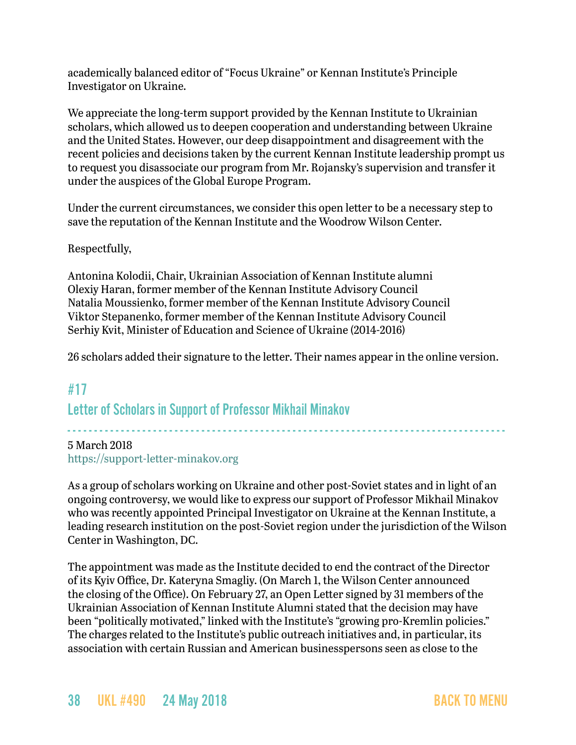academically balanced editor of "Focus Ukraine" or Kennan Institute's Principle Investigator on Ukraine.

We appreciate the long-term support provided by the Kennan Institute to Ukrainian scholars, which allowed us to deepen cooperation and understanding between Ukraine and the United States. However, our deep disappointment and disagreement with the recent policies and decisions taken by the current Kennan Institute leadership prompt us to request you disassociate our program from Mr. Rojansky's supervision and transfer it under the auspices of the Global Europe Program.

Under the current circumstances, we consider this open letter to be a necessary step to save the reputation of the Kennan Institute and the Woodrow Wilson Center.

#### Respectfully,

Antonina Kolodii, Chair, Ukrainian Association of Kennan Institute alumni Olexiy Haran, former member of the Kennan Institute Advisory Council Natalia Moussienko, former member of the Kennan Institute Advisory Council Viktor Stepanenko, former member of the Kennan Institute Advisory Council Serhiy Kvit, Minister of Education and Science of Ukraine (2014-2016)

26 scholars added their signature to the letter. Their names appear in the online version.

### <span id="page-37-0"></span>#17

Letter of Scholars in Support of Professor Mikhail Minakov

### - - - - - - - - - - - - - - - - - - - - - - - - - - - - - - - - - - - - - - - - - - - - - - - - - - - - - - - - - - - - - - - - - - - - - - - - - - - - - - - - - - 5 March 2018

<https://support-letter-minakov.org>

As a group of scholars working on Ukraine and other post-Soviet states and in light of an ongoing controversy, we would like to express our support of Professor Mikhail Minakov who was recently appointed Principal Investigator on Ukraine at the Kennan Institute, a leading research institution on the post-Soviet region under the jurisdiction of the Wilson Center in Washington, DC.

The appointment was made as the Institute decided to end the contract of the Director of its Kyiv Office, Dr. Kateryna Smagliy. (On March 1, the Wilson Center announced the closing of the Office). On February 27, an Open Letter signed by 31 members of the Ukrainian Association of Kennan Institute Alumni stated that the decision may have been "politically motivated," linked with the Institute's "growing pro-Kremlin policies." The charges related to the Institute's public outreach initiatives and, in particular, its association with certain Russian and American businesspersons seen as close to the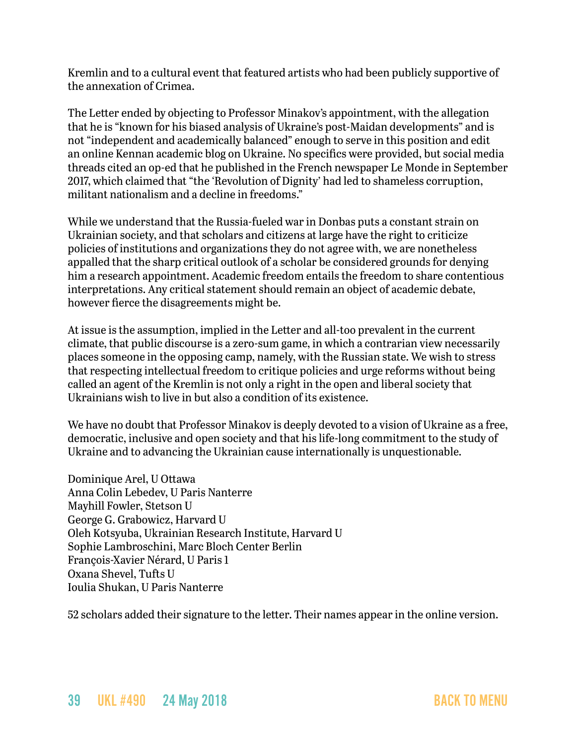Kremlin and to a cultural event that featured artists who had been publicly supportive of the annexation of Crimea.

The Letter ended by objecting to Professor Minakov's appointment, with the allegation that he is "known for his biased analysis of Ukraine's post-Maidan developments" and is not "independent and academically balanced" enough to serve in this position and edit an online Kennan academic blog on Ukraine. No specifics were provided, but social media threads cited [an op-ed that he published in the French newspaper Le Monde](https://support-letter-minakov.org/context/) in September 2017, which claimed that "the 'Revolution of Dignity' had led to shameless corruption, militant nationalism and a decline in freedoms."

While we understand that the Russia-fueled war in Donbas puts a constant strain on Ukrainian society, and that scholars and citizens at large have the right to criticize policies of institutions and organizations they do not agree with, we are nonetheless appalled that the sharp critical outlook of a scholar be considered grounds for denying him a research appointment. Academic freedom entails the freedom to share contentious interpretations. Any critical statement should remain an object of academic debate, however fierce the disagreements might be.

At issue is the assumption, implied in the Letter and all-too prevalent in the current climate, that public discourse is a zero-sum game, in which a contrarian view necessarily places someone in the opposing camp, namely, with the Russian state. We wish to stress that respecting intellectual freedom to critique policies and urge reforms without being called an agent of the Kremlin is not only a right in the open and liberal society that Ukrainians wish to live in but also a condition of its existence.

We have no doubt that Professor Minakov is deeply devoted to a vision of Ukraine as a free, democratic, inclusive and open society and that his life-long commitment to the study of Ukraine and to advancing the Ukrainian cause internationally is unquestionable.

Dominique Arel, U Ottawa Anna Colin Lebedev, U Paris Nanterre Mayhill Fowler, Stetson U George G. Grabowicz, Harvard U Oleh Kotsyuba, Ukrainian Research Institute, Harvard U Sophie Lambroschini, Marc Bloch Center Berlin François-Xavier Nérard, U Paris 1 Oxana Shevel, Tufts U Ioulia Shukan, U Paris Nanterre

52 scholars added their signature to the letter. Their names appear in the online version.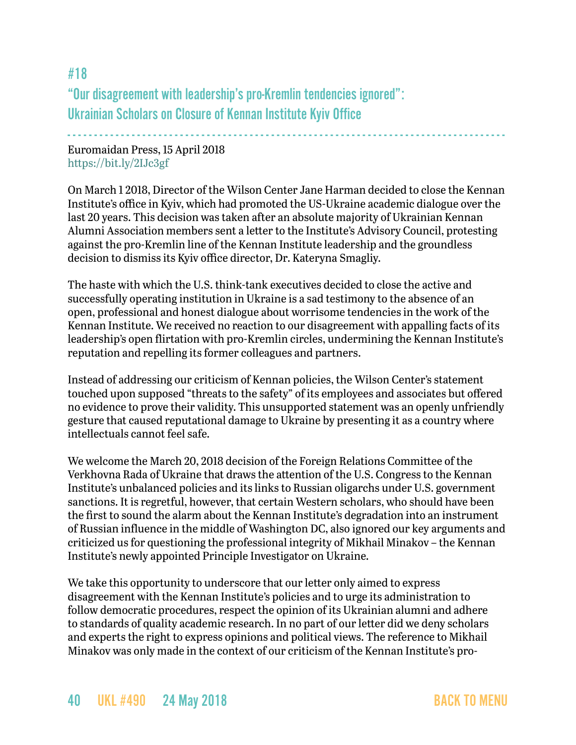#18 "Our disagreement with leadership's pro-Kremlin tendencies ignored": Ukrainian Scholars on Closure of Kennan Institute Kyiv Office

- - - - - - - - - - - - - - - - - - - - - - - - - - - - - - - - - - - - - - - - - - - - - - - - - - - - - - - - - - - - - - - - - - - - - - - - - - - - - - - - - - Euromaidan Press, 15 April 2018 <https://bit.ly/2IJc3gf>

On March 1 2018, Director of the Wilson Center Jane Harman [decided](https://www.wilsoncenter.org/article/statement-the-status-the-kennan-institutes-ukraine-office-director-president-and-ceo-the) to close the Kennan Institute's office in Kyiv, which had promoted the US-Ukraine academic dialogue over the last 20 years. This decision was taken after an absolute majority of Ukrainian Kennan Alumni Association members sent a [letter](https://www.kyivpost.com/article/opinion/op-ed/alumni-deeply-concerned-kennan-institutes-growing-pro-kremlin-policies.html) to the Institute's Advisory Council, protesting against the pro-Kremlin line of the Kennan Institute leadership and the groundless decision to dismiss its Kyiv office director, Dr. Kateryna Smagliy.

The haste with which the U.S. think-tank executives decided to close the active and successfully operating institution in Ukraine is a sad testimony to the absence of an open, professional and honest dialogue about worrisome tendencies in the work of the Kennan Institute. We received no reaction to our disagreement with appalling facts of its leadership's open flirtation with pro-Kremlin circles, undermining the Kennan Institute's reputation and repelling its former colleagues and partners.

Instead of addressing our criticism of Kennan policies, the Wilson Center's statement touched upon supposed "threats to the safety" of its employees and associates but offered no evidence to prove their validity. This unsupported statement was an openly unfriendly gesture that caused reputational damage to Ukraine by presenting it as a country where intellectuals cannot feel safe.

We welcome the March 20, 2018 decision of the Foreign Relations Committee of the Verkhovna Rada of Ukraine that draws the attention of the U.S. Congress to the Kennan Institute's unbalanced policies and its links to Russian oligarchs under U.S. government sanctions. It is regretful, however, that certain Western scholars, who should have been the first to sound the alarm about the Kennan Institute's degradation into an instrument of Russian influence in the middle of Washington DC, also [ignored](https://support-letter-minakov.org/) our key arguments and criticized us for questioning the professional integrity of Mikhail Minakov – the Kennan Institute's newly appointed Principle Investigator on Ukraine.

We take this opportunity to underscore that our letter only aimed to express disagreement with the Kennan Institute's policies and to urge its administration to follow democratic procedures, respect the opinion of its Ukrainian alumni and adhere to standards of quality academic research. In no part of our letter did we deny scholars and experts the right to express opinions and political views. The reference to Mikhail Minakov was only made in the context of our criticism of the Kennan Institute's pro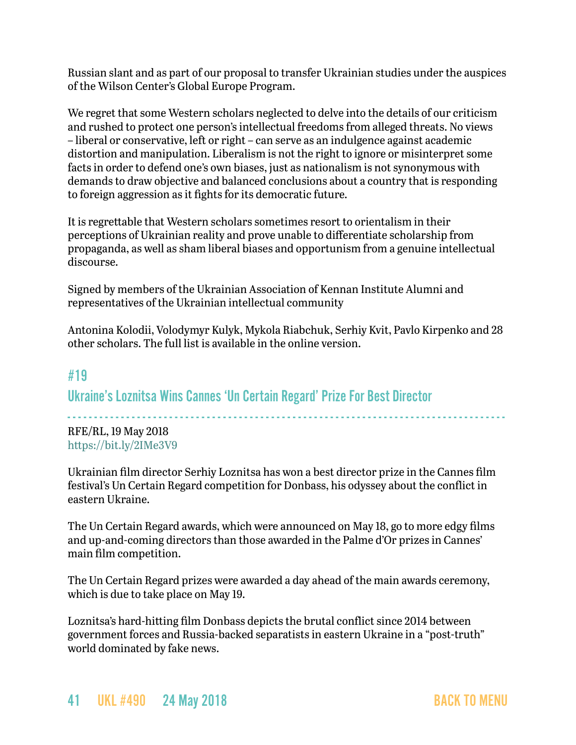Russian slant and as part of our proposal to transfer Ukrainian studies under the auspices of the Wilson Center's Global Europe Program.

We regret that some Western scholars neglected to delve into the details of our criticism and rushed to protect one person's intellectual freedoms from alleged threats. No views – liberal or conservative, left or right – can serve as an indulgence against academic distortion and manipulation. Liberalism is not the right to ignore or misinterpret some facts in order to defend one's own biases, just as nationalism is not synonymous with demands to draw objective and balanced conclusions about a country that is responding to foreign aggression as it fights for its democratic future.

It is regrettable that Western scholars sometimes resort to orientalism in their perceptions of Ukrainian reality and prove unable to differentiate scholarship from propaganda, as well as sham liberal biases and opportunism from a genuine intellectual discourse.

Signed by members of the Ukrainian Association of Kennan Institute Alumni and representatives of the Ukrainian intellectual community

Antonina Kolodii, Volodymyr Kulyk, Mykola Riabchuk, Serhiy Kvit, Pavlo Kirpenko and 28 other scholars. The full list is available in the online version.

### #19

Ukraine's Loznitsa Wins Cannes 'Un Certain Regard' Prize For Best Director

- - - - - - - - - - - - - - - - - - - - - - - - - - - - - - - - - - - - - - - - - - - - - - - - - - - - - - - - - - - - - - - - - - - - - - - - - - - - - - - - - - RFE/RL, 19 May 2018 <https://bit.ly/2IMe3V9>

Ukrainian film director Serhiy Loznitsa has won a best director prize in the Cannes film festival's Un Certain Regard competition for Donbass, his odyssey about the conflict in eastern Ukraine.

The Un Certain Regard awards, which were announced on May 18, go to more edgy films and up-and-coming directors than those awarded in the Palme d'Or prizes in Cannes' main film competition.

The Un Certain Regard prizes were awarded a day ahead of the main awards ceremony, which is due to take place on May 19.

Loznitsa's hard-hitting film Donbass depicts the brutal conflict since 2014 between government forces and Russia-backed separatists in eastern Ukraine in a "post-truth" world dominated by fake news.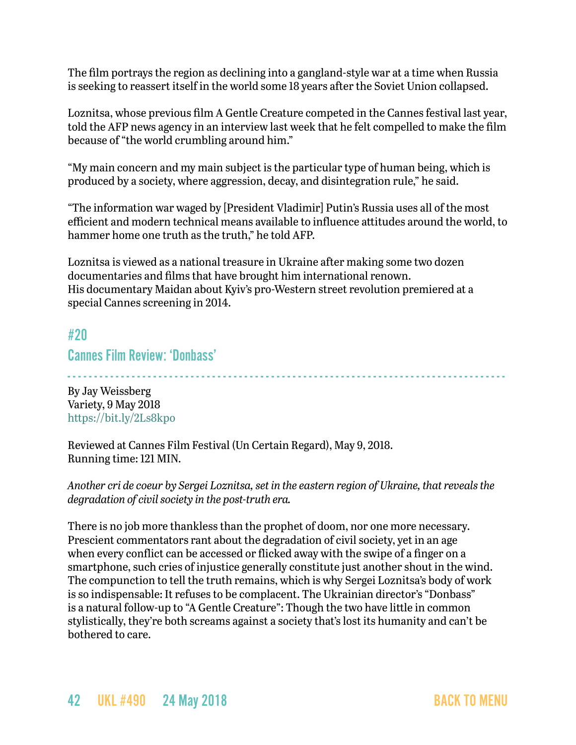The film portrays the region as declining into a gangland-style war at a time when Russia is seeking to reassert itself in the world some 18 years after the Soviet Union collapsed.

Loznitsa, whose previous film A Gentle Creature competed in the Cannes festival last year, told the AFP news agency in an interview last week that he felt compelled to make the film because of "the world crumbling around him."

"My main concern and my main subject is the particular type of human being, which is produced by a society, where aggression, decay, and disintegration rule," he said.

"The information war waged by [President Vladimir] Putin's Russia uses all of the most efficient and modern technical means available to influence attitudes around the world, to hammer home one truth as the truth," he told AFP.

Loznitsa is viewed as a national treasure in Ukraine after making some two dozen documentaries and films that have brought him international renown. His documentary Maidan about Kyiv's pro-Western street revolution premiered at a special Cannes screening in 2014.

### #20

Cannes Film Review: 'Donbass'

- - - - - - - - - - - - - - - - - - - - - - - - - - - - - - - - - - - - - - - - - - - - - - - - - - - - - - - - - - - - - - - - - - - - - - - - - - - - - - - - - -

By Jay Weissberg Variety, 9 May 2018 <https://bit.ly/2Ls8kpo>

Reviewed at Cannes Film Festival (Un Certain Regard), May 9, 2018. Running time: 121 MIN.

*Another cri de coeur by Sergei Loznitsa, set in the eastern region of Ukraine, that reveals the degradation of civil society in the post-truth era.*

There is no job more thankless than the prophet of doom, nor one more necessary. Prescient commentators rant about the degradation of civil society, yet in an age when every conflict can be accessed or flicked away with the swipe of a finger on a smartphone, such cries of injustice generally constitute just another shout in the wind. The compunction to tell the truth remains, which is why Sergei Loznitsa's body of work is so indispensable: It refuses to be complacent. The Ukrainian director's "Donbass" is a natural follow-up to "A Gentle Creature": Though the two have little in common stylistically, they're both screams against a society that's lost its humanity and can't be bothered to care.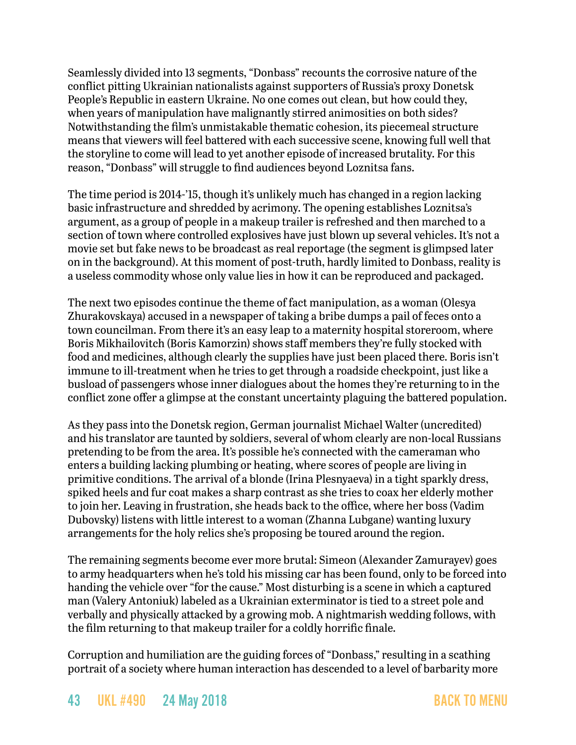Seamlessly divided into 13 segments, "Donbass" recounts the corrosive nature of the conflict pitting Ukrainian nationalists against supporters of Russia's proxy Donetsk People's Republic in eastern Ukraine. No one comes out clean, but how could they, when years of manipulation have malignantly stirred animosities on both sides? Notwithstanding the film's unmistakable thematic cohesion, its piecemeal structure means that viewers will feel battered with each successive scene, knowing full well that the storyline to come will lead to yet another episode of increased brutality. For this reason, "Donbass" will struggle to find audiences beyond Loznitsa fans.

The time period is 2014-'15, though it's unlikely much has changed in a region lacking basic infrastructure and shredded by acrimony. The opening establishes Loznitsa's argument, as a group of people in a makeup trailer is refreshed and then marched to a section of town where controlled explosives have just blown up several vehicles. It's not a movie set but fake news to be broadcast as real reportage (the segment is glimpsed later on in the background). At this moment of post-truth, hardly limited to Donbass, reality is a useless commodity whose only value lies in how it can be reproduced and packaged.

The next two episodes continue the theme of fact manipulation, as a woman (Olesya Zhurakovskaya) accused in a newspaper of taking a bribe dumps a pail of feces onto a town councilman. From there it's an easy leap to a maternity hospital storeroom, where Boris Mikhailovitch (Boris Kamorzin) shows staff members they're fully stocked with food and medicines, although clearly the supplies have just been placed there. Boris isn't immune to ill-treatment when he tries to get through a roadside checkpoint, just like a busload of passengers whose inner dialogues about the homes they're returning to in the conflict zone offer a glimpse at the constant uncertainty plaguing the battered population.

As they pass into the Donetsk region, German journalist Michael Walter (uncredited) and his translator are taunted by soldiers, several of whom clearly are non-local Russians pretending to be from the area. It's possible he's connected with the cameraman who enters a building lacking plumbing or heating, where scores of people are living in primitive conditions. The arrival of a blonde (Irina Plesnyaeva) in a tight sparkly dress, spiked heels and fur coat makes a sharp contrast as she tries to coax her elderly mother to join her. Leaving in frustration, she heads back to the office, where her boss (Vadim Dubovsky) listens with little interest to a woman (Zhanna Lubgane) wanting luxury arrangements for the holy relics she's proposing be toured around the region.

The remaining segments become ever more brutal: Simeon (Alexander Zamurayev) goes to army headquarters when he's told his missing car has been found, only to be forced into handing the vehicle over "for the cause." Most disturbing is a scene in which a captured man (Valery Antoniuk) labeled as a Ukrainian exterminator is tied to a street pole and verbally and physically attacked by a growing mob. A nightmarish wedding follows, with the film returning to that makeup trailer for a coldly horrific finale.

Corruption and humiliation are the guiding forces of "Donbass," resulting in a scathing portrait of a society where human interaction has descended to a level of barbarity more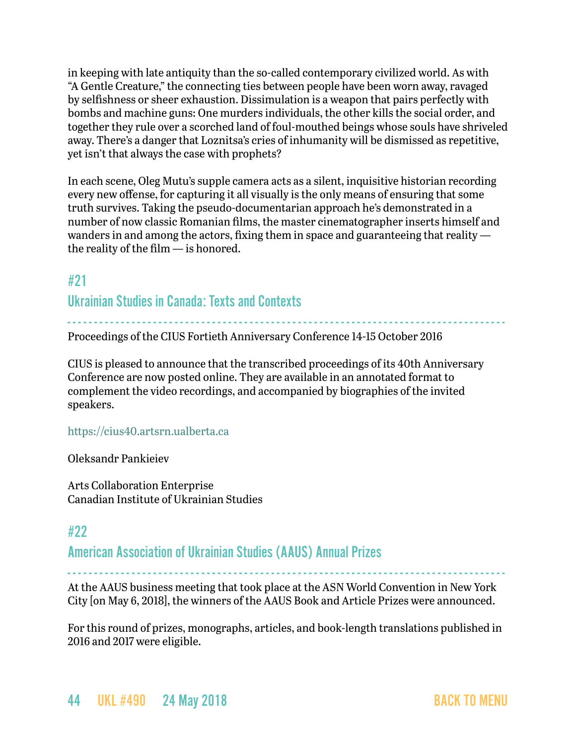in keeping with late antiquity than the so-called contemporary civilized world. As with "A Gentle Creature," the connecting ties between people have been worn away, ravaged by selfishness or sheer exhaustion. Dissimulation is a weapon that pairs perfectly with bombs and machine guns: One murders individuals, the other kills the social order, and together they rule over a scorched land of foul-mouthed beings whose souls have shriveled away. There's a danger that Loznitsa's cries of inhumanity will be dismissed as repetitive, yet isn't that always the case with prophets?

In each scene, Oleg Mutu's supple camera acts as a silent, inquisitive historian recording every new offense, for capturing it all visually is the only means of ensuring that some truth survives. Taking the pseudo-documentarian approach he's demonstrated in a number of now classic Romanian films, the master cinematographer inserts himself and wanders in and among the actors, fixing them in space and guaranteeing that reality the reality of the film — is honored.

## <span id="page-43-0"></span>#21

Ukrainian Studies in Canada: Texts and Contexts

- - - - - - - - - - - - - - - - - - - - - - - - - - - - - - - - - - - - - - - - - - - - - - - - - - - - - - - - - - - - - - - - - - - - - - - - - - - - - - - - - - Proceedings of the CIUS Fortieth Anniversary Conference 14-15 October 2016

CIUS is pleased to announce that the transcribed proceedings of its 40th Anniversary Conference are now posted online. They are available in an annotated format to complement the video recordings, and accompanied by biographies of the invited speakers.

### <https://cius40.artsrn.ualberta.ca>

Oleksandr Pankieiev

Arts Collaboration Enterprise Canadian Institute of Ukrainian Studies

## <span id="page-43-1"></span>#22

American Association of Ukrainian Studies (AAUS) Annual Prizes

- - - - - - - - - - - - - - - - - - - - - - - - - - - - - - - - - - - - - - - - - - - - - - - - - - - - - - - - - - - - - - - - - - - - - - - - - - - - - - - - - - At the AAUS business meeting that took place at the ASN World Convention in New York City [on May 6, 2018], the winners of the AAUS Book and Article Prizes were announced.

For this round of prizes, monographs, articles, and book-length translations published in 2016 and 2017 were eligible.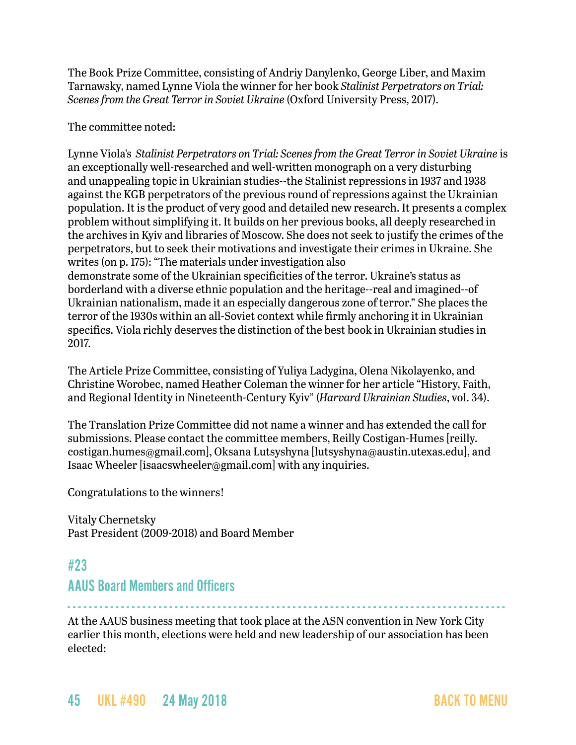The Book Prize Committee, consisting of Andriy Danylenko, George Liber, and Maxim Tarnawsky, named Lynne Viola the winner for her book *Stalinist Perpetrators on Trial: Scenes from the Great Terror in Soviet Ukraine* (Oxford University Press, 2017).

The committee noted:

Lynne Viola's *Stalinist Perpetrators on Trial: Scenes from the Great Terror in Soviet Ukraine* is an exceptionally well-researched and well-written monograph on a very disturbing and unappealing topic in Ukrainian studies--the Stalinist repressions in 1937 and 1938 against the KGB perpetrators of the previous round of repressions against the Ukrainian population. It is the product of very good and detailed new research. It presents a complex problem without simplifying it. It builds on her previous books, all deeply researched in the archives in Kyiv and libraries of Moscow. She does not seek to justify the crimes of the perpetrators, but to seek their motivations and investigate their crimes in Ukraine. She writes (on p. 175): "The materials under investigation also demonstrate some of the Ukrainian specificities of the terror. Ukraine's status as borderland with a diverse ethnic population and the heritage--real and imagined--of Ukrainian nationalism, made it an especially dangerous zone of terror." She places the

terror of the 1930s within an all-Soviet context while firmly anchoring it in Ukrainian specifics. Viola richly deserves the distinction of the best book in Ukrainian studies in 2017.

The Article Prize Committee, consisting of Yuliya Ladygina, Olena Nikolayenko, and Christine Worobec, named Heather Coleman the winner for her article "History, Faith, and Regional Identity in Nineteenth-Century Kyiv" (*Harvard Ukrainian Studies*, vol. 34).

The Translation Prize Committee did not name a winner and has extended the call for submissions. Please contact the committee members, Reilly Costigan-Humes [reilly. costigan.humes@gmail.com], Oksana Lutsyshyna [lutsyshyna@austin.utexas.edu], and Isaac Wheeler [isaacswheeler@gmail.com] with any inquiries.

Congratulations to the winners!

Vitaly Chernetsky Past President (2009-2018) and Board Member

## <span id="page-44-0"></span>#23

### AAUS Board Members and Officers

- - - - - - - - - - - - - - - - - - - - - - - - - - - - - - - - - - - - - - - - - - - - - - - - - - - - - - - - - - - - - - - - - - - - - - - - - - - - - - - - - -

At the AAUS business meeting that took place at the ASN convention in New York City earlier this month, elections were held and new leadership of our association has been elected: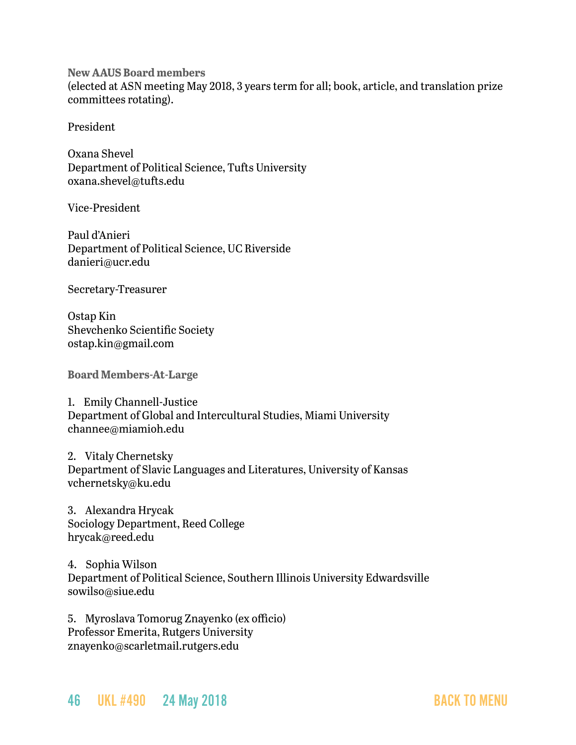**New AAUS Board members**  (elected at ASN meeting May 2018, 3 years term for all; book, article, and translation prize committees rotating).

President

Oxana Shevel Department of Political Science, Tufts University oxana.shevel@tufts.edu

Vice-President

Paul d'Anieri Department of Political Science, UC Riverside danieri@ucr.edu

Secretary-Treasurer

Ostap Kin Shevchenko Scientific Society ostap.kin@gmail.com

**Board Members-At-Large**

1. Emily Channell-Justice Department of Global and Intercultural Studies, Miami University channee@miamioh.edu

2. Vitaly Chernetsky Department of Slavic Languages and Literatures, University of Kansas vchernetsky@ku.edu

3. Alexandra Hrycak Sociology Department, Reed College hrycak@reed.edu

4. Sophia Wilson Department of Political Science, Southern Illinois University Edwardsville sowilso@siue.edu

5. Myroslava Tomorug Znayenko (ex officio) Professor Emerita, Rutgers University znayenko@scarletmail.rutgers.edu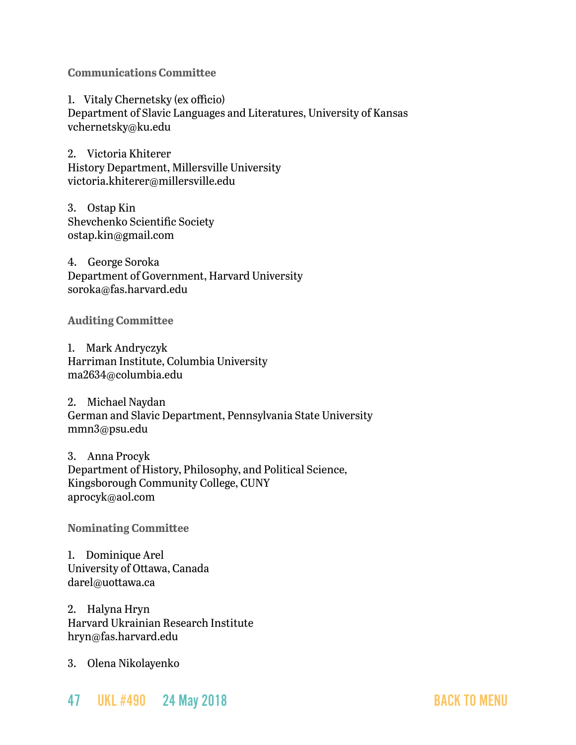**Communications Committee**

1. Vitaly Chernetsky (ex officio) Department of Slavic Languages and Literatures, University of Kansas vchernetsky@ku.edu

2. Victoria Khiterer History Department, Millersville University victoria.khiterer@millersville.edu

3. Ostap Kin Shevchenko Scientific Society ostap.kin@gmail.com

4. George Soroka Department of Government, Harvard University soroka@fas.harvard.edu

**Auditing Committee**

1. Mark Andryczyk Harriman Institute, Columbia University ma2634@columbia.edu

2. Michael Naydan German and Slavic Department, Pennsylvania State University mmn3@psu.edu

3. Anna Procyk Department of History, Philosophy, and Political Science, Kingsborough Community College, CUNY aprocyk@aol.com

**Nominating Committee**

1. Dominique Arel University of Ottawa, Canada darel@uottawa.ca

2. Halyna Hryn Harvard Ukrainian Research Institute hryn@fas.harvard.edu

3. Olena Nikolayenko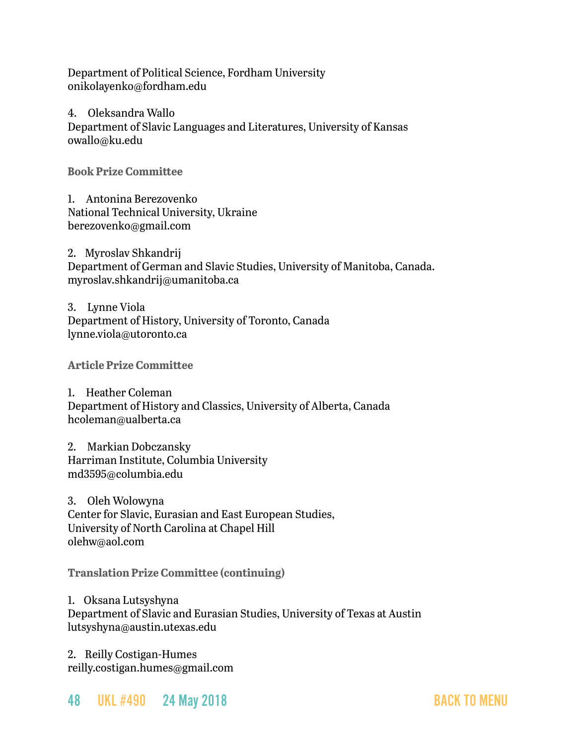Department of Political Science, Fordham University onikolayenko@fordham.edu

4. Oleksandra Wallo

Department of Slavic Languages and Literatures, University of Kansas owallo@ku.edu

**Book Prize Committee**

1. Antonina Berezovenko National Technical University, Ukraine berezovenko@gmail.com

2. Myroslav Shkandrij Department of German and Slavic Studies, University of Manitoba, Canada. myroslav.shkandrij@umanitoba.ca

3. Lynne Viola Department of History, University of Toronto, Canada lynne.viola@utoronto.ca

**Article Prize Committee**

1. Heather Coleman Department of History and Classics, University of Alberta, Canada hcoleman@ualberta.ca

2. Markian Dobczansky Harriman Institute, Columbia University md3595@columbia.edu

3. Oleh Wolowyna Center for Slavic, Eurasian and East European Studies, University of North Carolina at Chapel Hill olehw@aol.com

**Translation Prize Committee (continuing)**

1. Oksana Lutsyshyna Department of Slavic and Eurasian Studies, University of Texas at Austin lutsyshyna@austin.utexas.edu

2. Reilly Costigan-Humes reilly.costigan.humes@gmail.com